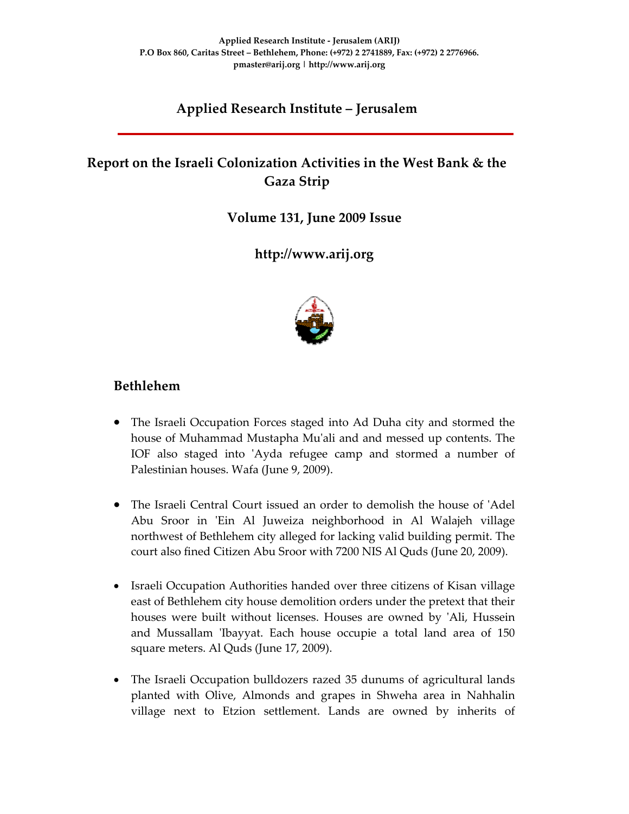# **Applied Research Institute – Jerusalem**

# **Report on the Israeli Colonization Activities in the West Bank & the Gaza Strip**

**Volume 131, June 2009 Issue** 

**http://www.arij.org**



# **Bethlehem**

- The Israeli Occupation Forces staged into Ad Duha city and stormed the house of Muhammad Mustapha Muʹali and and messed up contents. The IOF also staged into 'Ayda refugee camp and stormed a number of Palestinian houses. Wafa (June 9, 2009).
- The Israeli Central Court issued an order to demolish the house of 'Adel Abu Sroor in 'Ein Al Juweiza neighborhood in Al Walajeh village northwest of Bethlehem city alleged for lacking valid building permit. The court also fined Citizen Abu Sroor with 7200 NIS Al Quds (June 20, 2009).
- Israeli Occupation Authorities handed over three citizens of Kisan village east of Bethlehem city house demolition orders under the pretext that their houses were built without licenses. Houses are owned by ʹAli, Hussein and Mussallam 'Ibayyat. Each house occupie a total land area of 150 square meters. Al Quds (June 17, 2009).
- The Israeli Occupation bulldozers razed 35 dunums of agricultural lands planted with Olive, Almonds and grapes in Shweha area in Nahhalin village next to Etzion settlement. Lands are owned by inherits of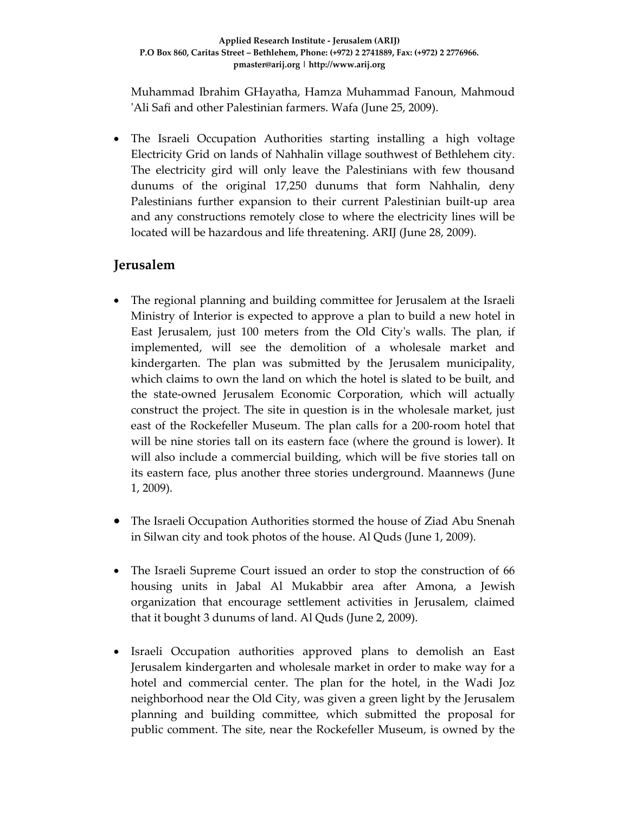Muhammad Ibrahim GHayatha, Hamza Muhammad Fanoun, Mahmoud ʹAli Safi and other Palestinian farmers. Wafa (June 25, 2009).

• The Israeli Occupation Authorities starting installing a high voltage Electricity Grid on lands of Nahhalin village southwest of Bethlehem city. The electricity gird will only leave the Palestinians with few thousand dunums of the original 17,250 dunums that form Nahhalin, deny Palestinians further expansion to their current Palestinian built‐up area and any constructions remotely close to where the electricity lines will be located will be hazardous and life threatening. ARIJ (June 28, 2009).

# **Jerusalem**

- The regional planning and building committee for Jerusalem at the Israeli Ministry of Interior is expected to approve a plan to build a new hotel in East Jerusalem, just 100 meters from the Old Cityʹs walls. The plan, if implemented, will see the demolition of a wholesale market and kindergarten. The plan was submitted by the Jerusalem municipality, which claims to own the land on which the hotel is slated to be built, and the state‐owned Jerusalem Economic Corporation, which will actually construct the project. The site in question is in the wholesale market, just east of the Rockefeller Museum. The plan calls for a 200‐room hotel that will be nine stories tall on its eastern face (where the ground is lower). It will also include a commercial building, which will be five stories tall on its eastern face, plus another three stories underground. Maannews (June 1, 2009).
- The Israeli Occupation Authorities stormed the house of Ziad Abu Snenah in Silwan city and took photos of the house. Al Quds (June 1, 2009).
- The Israeli Supreme Court issued an order to stop the construction of 66 housing units in Jabal Al Mukabbir area after Amona, a Jewish organization that encourage settlement activities in Jerusalem, claimed that it bought 3 dunums of land. Al Quds (June 2, 2009).
- Israeli Occupation authorities approved plans to demolish an East Jerusalem kindergarten and wholesale market in order to make way for a hotel and commercial center. The plan for the hotel, in the Wadi Joz neighborhood near the Old City, was given a green light by the Jerusalem planning and building committee, which submitted the proposal for public comment. The site, near the Rockefeller Museum, is owned by the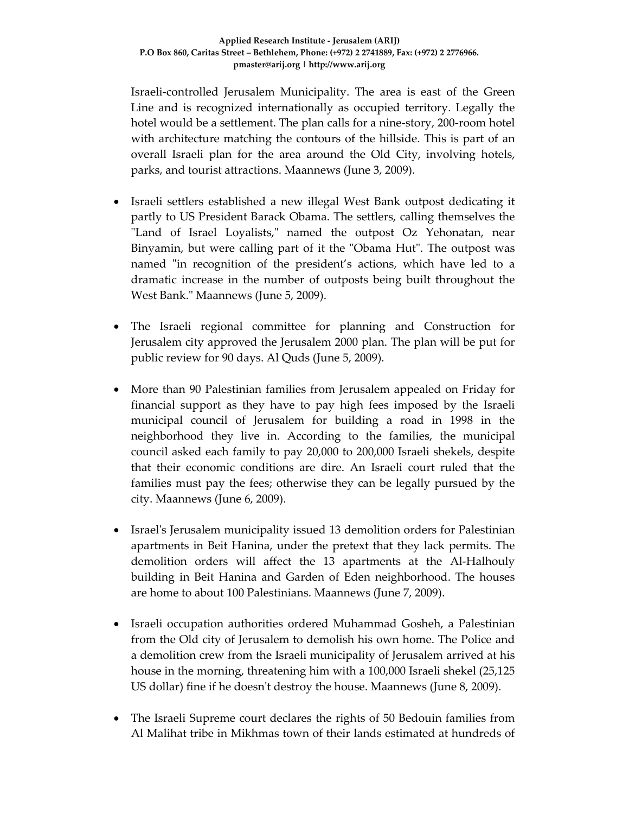Israeli‐controlled Jerusalem Municipality. The area is east of the Green Line and is recognized internationally as occupied territory. Legally the hotel would be a settlement. The plan calls for a nine-story, 200-room hotel with architecture matching the contours of the hillside. This is part of an overall Israeli plan for the area around the Old City, involving hotels, parks, and tourist attractions. Maannews (June 3, 2009).

- Israeli settlers established a new illegal West Bank outpost dedicating it partly to US President Barack Obama. The settlers, calling themselves the "Land of Israel Loyalists," named the outpost Oz Yehonatan, near Binyamin, but were calling part of it the "Obama Hut". The outpost was named "in recognition of the president's actions, which have led to a dramatic increase in the number of outposts being built throughout the West Bank." Maannews (June 5, 2009).
- The Israeli regional committee for planning and Construction for Jerusalem city approved the Jerusalem 2000 plan. The plan will be put for public review for 90 days. Al Quds (June 5, 2009).
- More than 90 Palestinian families from Jerusalem appealed on Friday for financial support as they have to pay high fees imposed by the Israeli municipal council of Jerusalem for building a road in 1998 in the neighborhood they live in. According to the families, the municipal council asked each family to pay 20,000 to 200,000 Israeli shekels, despite that their economic conditions are dire. An Israeli court ruled that the families must pay the fees; otherwise they can be legally pursued by the city. Maannews (June 6, 2009).
- Israel's Jerusalem municipality issued 13 demolition orders for Palestinian apartments in Beit Hanina, under the pretext that they lack permits. The demolition orders will affect the 13 apartments at the Al‐Halhouly building in Beit Hanina and Garden of Eden neighborhood. The houses are home to about 100 Palestinians. Maannews (June 7, 2009).
- Israeli occupation authorities ordered Muhammad Gosheh, a Palestinian from the Old city of Jerusalem to demolish his own home. The Police and a demolition crew from the Israeli municipality of Jerusalem arrived at his house in the morning, threatening him with a 100,000 Israeli shekel (25,125 US dollar) fine if he doesnʹt destroy the house. Maannews (June 8, 2009).
- The Israeli Supreme court declares the rights of 50 Bedouin families from Al Malihat tribe in Mikhmas town of their lands estimated at hundreds of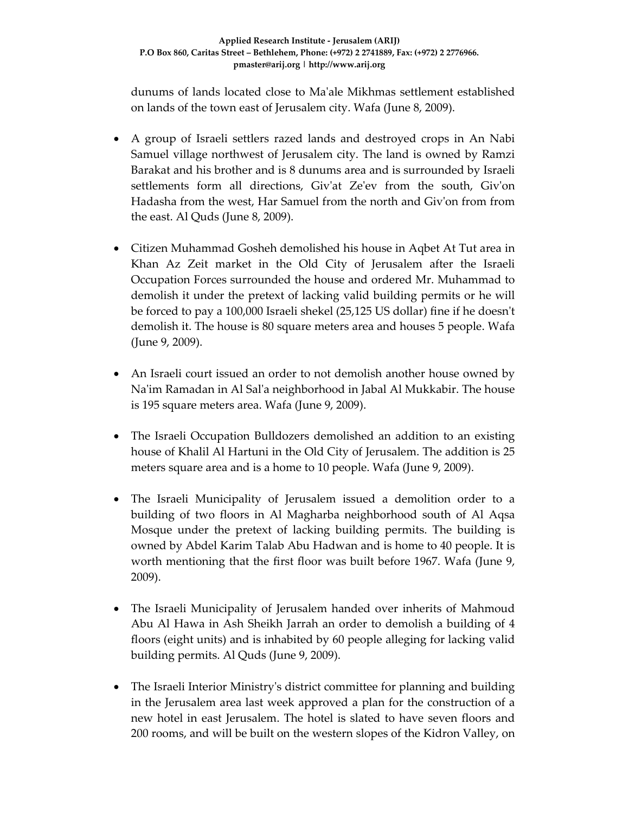dunums of lands located close to Maʹale Mikhmas settlement established on lands of the town east of Jerusalem city. Wafa (June 8, 2009).

- A group of Israeli settlers razed lands and destroyed crops in An Nabi Samuel village northwest of Jerusalem city. The land is owned by Ramzi Barakat and his brother and is 8 dunums area and is surrounded by Israeli settlements form all directions, Giv'at Ze'ev from the south, Giv'on Hadasha from the west, Har Samuel from the north and Givʹon from from the east. Al Quds (June 8, 2009).
- Citizen Muhammad Gosheh demolished his house in Aqbet At Tut area in Khan Az Zeit market in the Old City of Jerusalem after the Israeli Occupation Forces surrounded the house and ordered Mr. Muhammad to demolish it under the pretext of lacking valid building permits or he will be forced to pay a 100,000 Israeli shekel (25,125 US dollar) fine if he doesn't demolish it. The house is 80 square meters area and houses 5 people. Wafa (June 9, 2009).
- An Israeli court issued an order to not demolish another house owned by Naʹim Ramadan in Al Salʹa neighborhood in Jabal Al Mukkabir. The house is 195 square meters area. Wafa (June 9, 2009).
- The Israeli Occupation Bulldozers demolished an addition to an existing house of Khalil Al Hartuni in the Old City of Jerusalem. The addition is 25 meters square area and is a home to 10 people. Wafa (June 9, 2009).
- The Israeli Municipality of Jerusalem issued a demolition order to a building of two floors in Al Magharba neighborhood south of Al Aqsa Mosque under the pretext of lacking building permits. The building is owned by Abdel Karim Talab Abu Hadwan and is home to 40 people. It is worth mentioning that the first floor was built before 1967. Wafa (June 9, 2009).
- The Israeli Municipality of Jerusalem handed over inherits of Mahmoud Abu Al Hawa in Ash Sheikh Jarrah an order to demolish a building of 4 floors (eight units) and is inhabited by 60 people alleging for lacking valid building permits. Al Quds (June 9, 2009).
- The Israeli Interior Ministry's district committee for planning and building in the Jerusalem area last week approved a plan for the construction of a new hotel in east Jerusalem. The hotel is slated to have seven floors and 200 rooms, and will be built on the western slopes of the Kidron Valley, on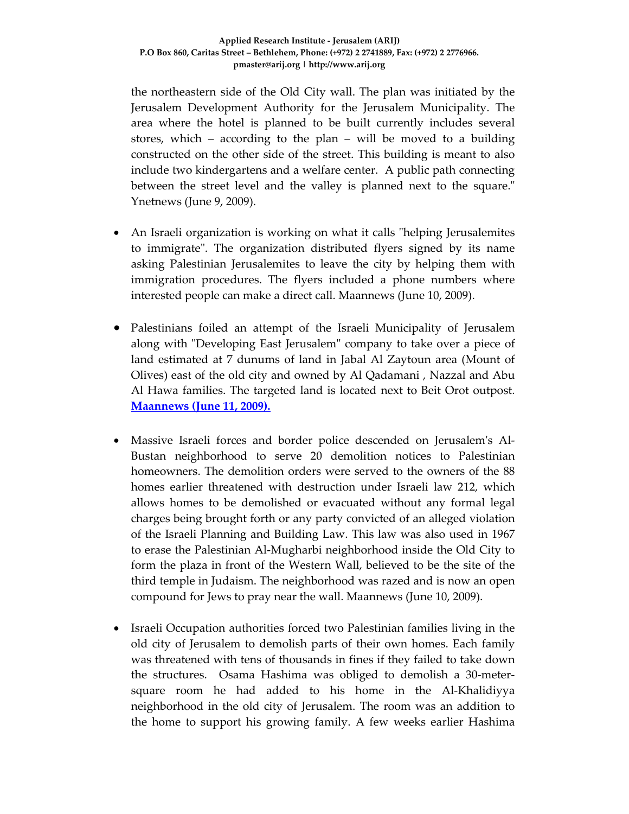the northeastern side of the Old City wall. The plan was initiated by the Jerusalem Development Authority for the Jerusalem Municipality. The area where the hotel is planned to be built currently includes several stores, which – according to the plan – will be moved to a building constructed on the other side of the street. This building is meant to also include two kindergartens and a welfare center. A public path connecting between the street level and the valley is planned next to the square." Ynetnews (June 9, 2009).

- An Israeli organization is working on what it calls "helping Jerusalemites" to immigrate". The organization distributed flyers signed by its name asking Palestinian Jerusalemites to leave the city by helping them with immigration procedures. The flyers included a phone numbers where interested people can make a direct call. Maannews (June 10, 2009).
- Palestinians foiled an attempt of the Israeli Municipality of Jerusalem along with "Developing East Jerusalem" company to take over a piece of land estimated at 7 dunums of land in Jabal Al Zaytoun area (Mount of Olives) east of the old city and owned by Al Qadamani , Nazzal and Abu Al Hawa families. The targeted land is located next to Beit Orot outpost. **Maannews (June 11, 2009).**
- Massive Israeli forces and border police descended on Jerusalemʹs Al‐ Bustan neighborhood to serve 20 demolition notices to Palestinian homeowners. The demolition orders were served to the owners of the 88 homes earlier threatened with destruction under Israeli law 212, which allows homes to be demolished or evacuated without any formal legal charges being brought forth or any party convicted of an alleged violation of the Israeli Planning and Building Law. This law was also used in 1967 to erase the Palestinian Al‐Mugharbi neighborhood inside the Old City to form the plaza in front of the Western Wall, believed to be the site of the third temple in Judaism. The neighborhood was razed and is now an open compound for Jews to pray near the wall. Maannews (June 10, 2009).
- Israeli Occupation authorities forced two Palestinian families living in the old city of Jerusalem to demolish parts of their own homes. Each family was threatened with tens of thousands in fines if they failed to take down the structures. Osama Hashima was obliged to demolish a 30‐meter‐ square room he had added to his home in the Al‐Khalidiyya neighborhood in the old city of Jerusalem. The room was an addition to the home to support his growing family. A few weeks earlier Hashima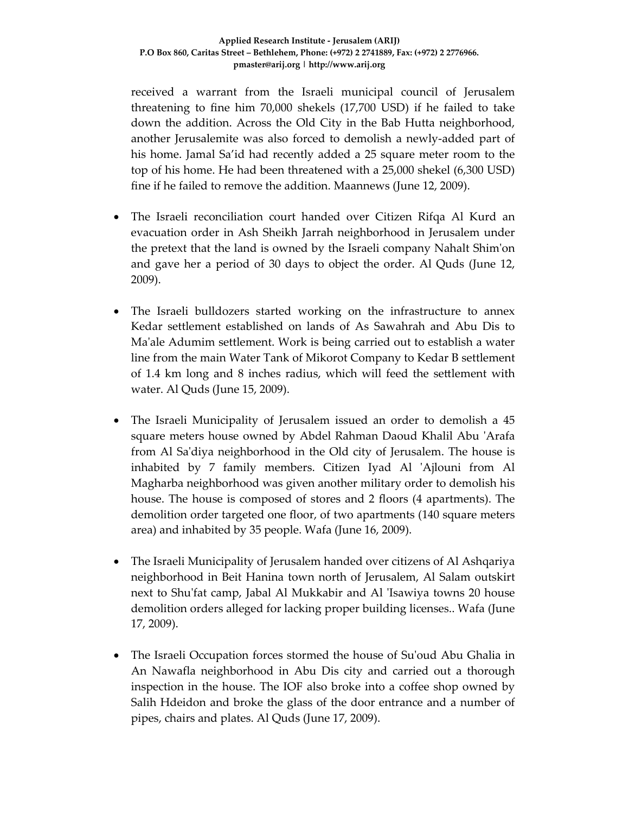received a warrant from the Israeli municipal council of Jerusalem threatening to fine him 70,000 shekels (17,700 USD) if he failed to take down the addition. Across the Old City in the Bab Hutta neighborhood, another Jerusalemite was also forced to demolish a newly‐added part of his home. Jamal Sa'id had recently added a 25 square meter room to the top of his home. He had been threatened with a 25,000 shekel (6,300 USD) fine if he failed to remove the addition. Maannews (June 12, 2009).

- The Israeli reconciliation court handed over Citizen Rifqa Al Kurd an evacuation order in Ash Sheikh Jarrah neighborhood in Jerusalem under the pretext that the land is owned by the Israeli company Nahalt Shimʹon and gave her a period of 30 days to object the order. Al Quds (June 12, 2009).
- The Israeli bulldozers started working on the infrastructure to annex Kedar settlement established on lands of As Sawahrah and Abu Dis to Ma'ale Adumim settlement. Work is being carried out to establish a water line from the main Water Tank of Mikorot Company to Kedar B settlement of 1.4 km long and 8 inches radius, which will feed the settlement with water. Al Quds (June 15, 2009).
- The Israeli Municipality of Jerusalem issued an order to demolish a 45 square meters house owned by Abdel Rahman Daoud Khalil Abu 'Arafa from Al Saʹdiya neighborhood in the Old city of Jerusalem. The house is inhabited by 7 family members. Citizen Iyad Al ʹAjlouni from Al Magharba neighborhood was given another military order to demolish his house. The house is composed of stores and 2 floors (4 apartments). The demolition order targeted one floor, of two apartments (140 square meters area) and inhabited by 35 people. Wafa (June 16, 2009).
- The Israeli Municipality of Jerusalem handed over citizens of Al Ashqariya neighborhood in Beit Hanina town north of Jerusalem, Al Salam outskirt next to Shuʹfat camp, Jabal Al Mukkabir and Al ʹIsawiya towns 20 house demolition orders alleged for lacking proper building licenses.. Wafa (June 17, 2009).
- The Israeli Occupation forces stormed the house of Su'oud Abu Ghalia in An Nawafla neighborhood in Abu Dis city and carried out a thorough inspection in the house. The IOF also broke into a coffee shop owned by Salih Hdeidon and broke the glass of the door entrance and a number of pipes, chairs and plates. Al Quds (June 17, 2009).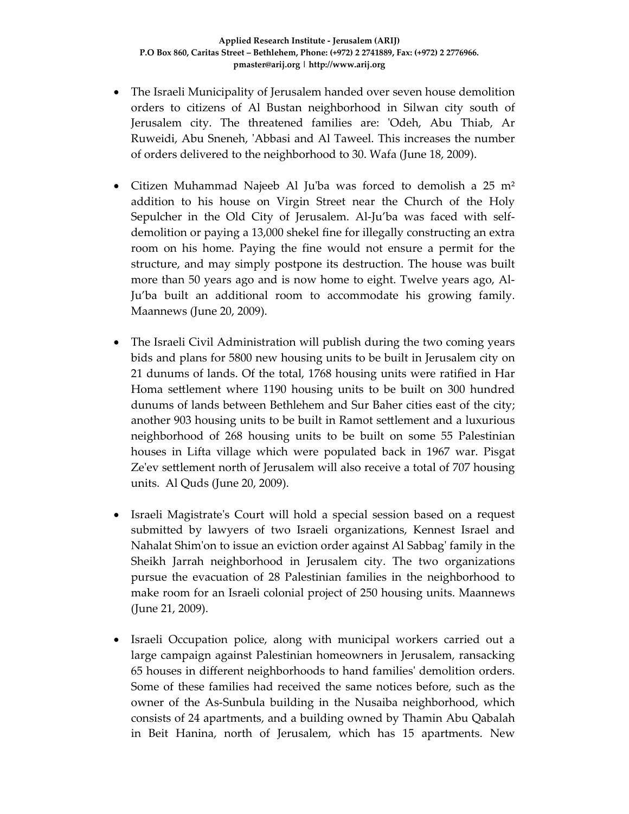- The Israeli Municipality of Jerusalem handed over seven house demolition orders to citizens of Al Bustan neighborhood in Silwan city south of Jerusalem city. The threatened families are: 'Odeh, Abu Thiab, Ar Ruweidi, Abu Sneneh, 'Abbasi and Al Taweel. This increases the number of orders delivered to the neighborhood to 30. Wafa (June 18, 2009).
- Citizen Muhammad Najeeb Al Ju'ba was forced to demolish a  $25 \text{ m}^2$ addition to his house on Virgin Street near the Church of the Holy Sepulcher in the Old City of Jerusalem. Al-Ju'ba was faced with selfdemolition or paying a 13,000 shekel fine for illegally constructing an extra room on his home. Paying the fine would not ensure a permit for the structure, and may simply postpone its destruction. The house was built more than 50 years ago and is now home to eight. Twelve years ago, Al‐ Ju'ba built an additional room to accommodate his growing family. Maannews (June 20, 2009).
- The Israeli Civil Administration will publish during the two coming years bids and plans for 5800 new housing units to be built in Jerusalem city on 21 dunums of lands. Of the total, 1768 housing units were ratified in Har Homa settlement where 1190 housing units to be built on 300 hundred dunums of lands between Bethlehem and Sur Baher cities east of the city; another 903 housing units to be built in Ramot settlement and a luxurious neighborhood of 268 housing units to be built on some 55 Palestinian houses in Lifta village which were populated back in 1967 war. Pisgat Ze'ev settlement north of Jerusalem will also receive a total of 707 housing units. Al Quds (June 20, 2009).
- Israeli Magistrate's Court will hold a special session based on a request submitted by lawyers of two Israeli organizations, Kennest Israel and Nahalat Shimʹon to issue an eviction order against Al Sabbagʹ family in the Sheikh Jarrah neighborhood in Jerusalem city. The two organizations pursue the evacuation of 28 Palestinian families in the neighborhood to make room for an Israeli colonial project of 250 housing units. Maannews (June 21, 2009).
- Israeli Occupation police, along with municipal workers carried out a large campaign against Palestinian homeowners in Jerusalem, ransacking 65 houses in different neighborhoods to hand familiesʹ demolition orders. Some of these families had received the same notices before, such as the owner of the As‐Sunbula building in the Nusaiba neighborhood, which consists of 24 apartments, and a building owned by Thamin Abu Qabalah in Beit Hanina, north of Jerusalem, which has 15 apartments. New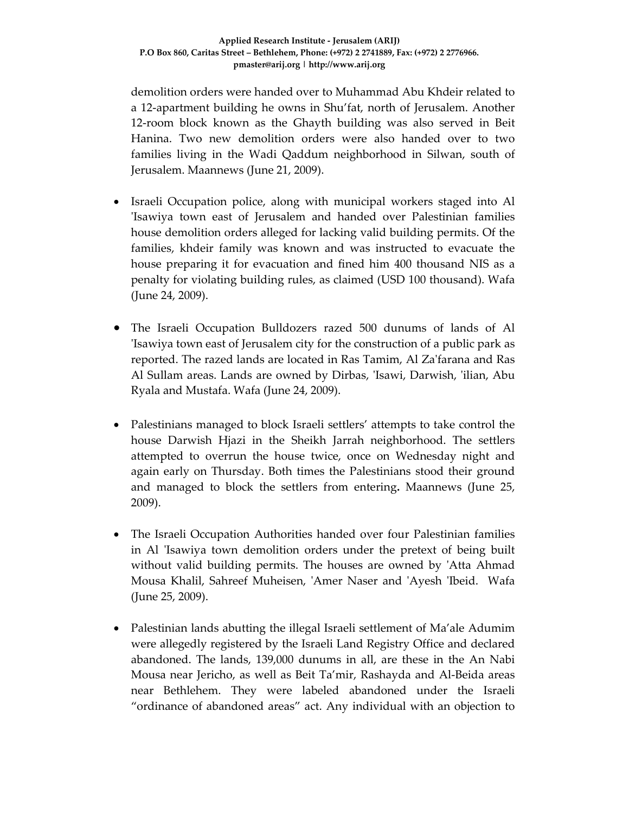demolition orders were handed over to Muhammad Abu Khdeir related to a 12‐apartment building he owns in Shu'fat, north of Jerusalem. Another 12-room block known as the Ghayth building was also served in Beit Hanina. Two new demolition orders were also handed over to two families living in the Wadi Qaddum neighborhood in Silwan, south of Jerusalem. Maannews (June 21, 2009).

- Israeli Occupation police, along with municipal workers staged into Al ʹIsawiya town east of Jerusalem and handed over Palestinian families house demolition orders alleged for lacking valid building permits. Of the families, khdeir family was known and was instructed to evacuate the house preparing it for evacuation and fined him 400 thousand NIS as a penalty for violating building rules, as claimed (USD 100 thousand). Wafa (June 24, 2009).
- The Israeli Occupation Bulldozers razed 500 dunums of lands of Al ʹIsawiya town east of Jerusalem city for the construction of a public park as reported. The razed lands are located in Ras Tamim, Al Zaʹfarana and Ras Al Sullam areas. Lands are owned by Dirbas, ʹIsawi, Darwish, ʹilian, Abu Ryala and Mustafa. Wafa (June 24, 2009).
- Palestinians managed to block Israeli settlers' attempts to take control the house Darwish Hjazi in the Sheikh Jarrah neighborhood. The settlers attempted to overrun the house twice, once on Wednesday night and again early on Thursday. Both times the Palestinians stood their ground and managed to block the settlers from entering**.** Maannews (June 25, 2009).
- The Israeli Occupation Authorities handed over four Palestinian families in Al 'Isawiya town demolition orders under the pretext of being built without valid building permits. The houses are owned by 'Atta Ahmad Mousa Khalil, Sahreef Muheisen, 'Amer Naser and 'Ayesh 'Ibeid. Wafa (June 25, 2009).
- Palestinian lands abutting the illegal Israeli settlement of Ma'ale Adumim were allegedly registered by the Israeli Land Registry Office and declared abandoned. The lands, 139,000 dunums in all, are these in the An Nabi Mousa near Jericho, as well as Beit Ta'mir, Rashayda and Al‐Beida areas near Bethlehem. They were labeled abandoned under the Israeli "ordinance of abandoned areas" act. Any individual with an objection to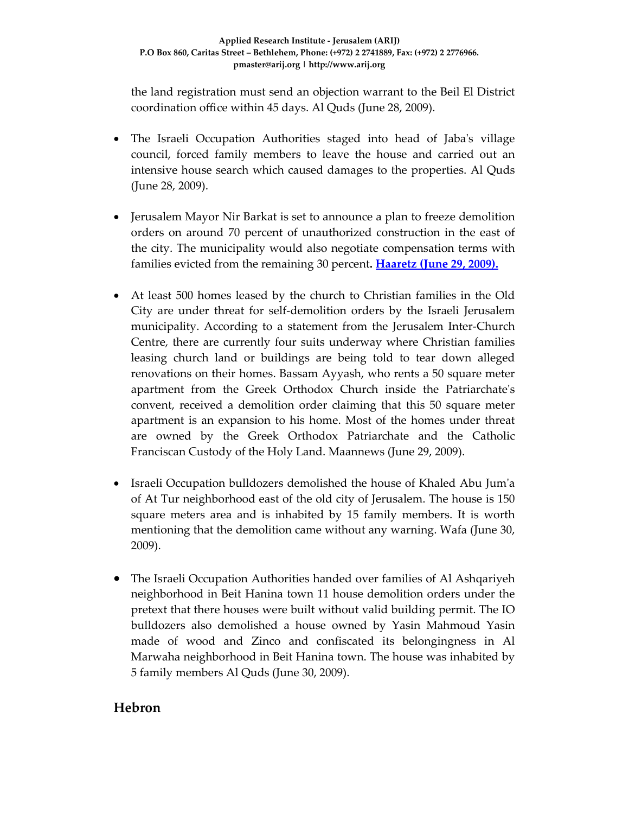the land registration must send an objection warrant to the Beil El District coordination office within 45 days. Al Quds (June 28, 2009).

- The Israeli Occupation Authorities staged into head of Jaba's village council, forced family members to leave the house and carried out an intensive house search which caused damages to the properties. Al Quds (June 28, 2009).
- Jerusalem Mayor Nir Barkat is set to announce a plan to freeze demolition orders on around 70 percent of unauthorized construction in the east of the city. The municipality would also negotiate compensation terms with families evicted from the remaining 30 percent**. Haaretz (June 29, 2009).**
- At least 500 homes leased by the church to Christian families in the Old City are under threat for self‐demolition orders by the Israeli Jerusalem municipality. According to a statement from the Jerusalem Inter-Church Centre, there are currently four suits underway where Christian families leasing church land or buildings are being told to tear down alleged renovations on their homes. Bassam Ayyash, who rents a 50 square meter apartment from the Greek Orthodox Church inside the Patriarchate's convent, received a demolition order claiming that this 50 square meter apartment is an expansion to his home. Most of the homes under threat are owned by the Greek Orthodox Patriarchate and the Catholic Franciscan Custody of the Holy Land. Maannews (June 29, 2009).
- Israeli Occupation bulldozers demolished the house of Khaled Abu Jum'a of At Tur neighborhood east of the old city of Jerusalem. The house is 150 square meters area and is inhabited by 15 family members. It is worth mentioning that the demolition came without any warning. Wafa (June 30, 2009).
- The Israeli Occupation Authorities handed over families of Al Ashqariyeh neighborhood in Beit Hanina town 11 house demolition orders under the pretext that there houses were built without valid building permit. The IO bulldozers also demolished a house owned by Yasin Mahmoud Yasin made of wood and Zinco and confiscated its belongingness in Al Marwaha neighborhood in Beit Hanina town. The house was inhabited by 5 family members Al Quds (June 30, 2009).

# **Hebron**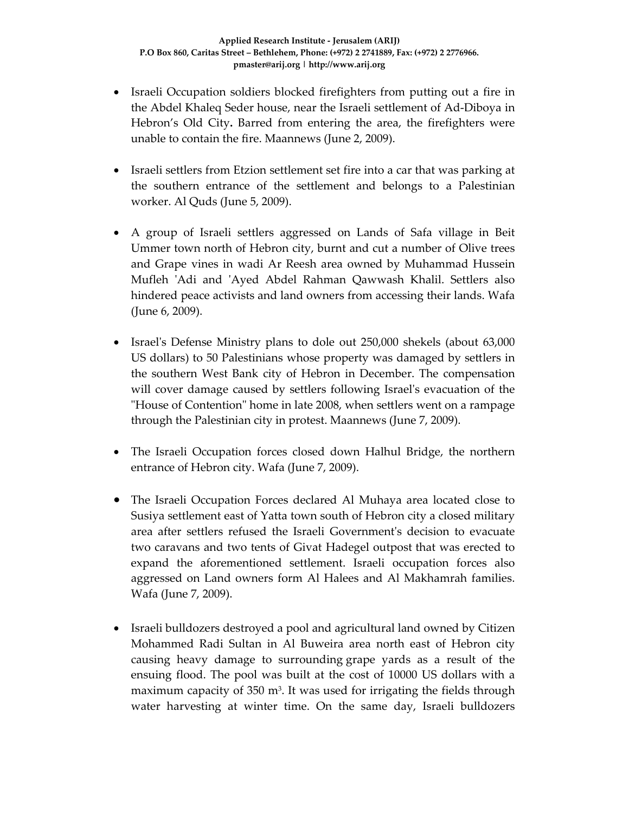- Israeli Occupation soldiers blocked firefighters from putting out a fire in the Abdel Khaleq Seder house, near the Israeli settlement of Ad‐Diboya in Hebron's Old City**.** Barred from entering the area, the firefighters were unable to contain the fire. Maannews (June 2, 2009).
- Israeli settlers from Etzion settlement set fire into a car that was parking at the southern entrance of the settlement and belongs to a Palestinian worker. Al Quds (June 5, 2009).
- A group of Israeli settlers aggressed on Lands of Safa village in Beit Ummer town north of Hebron city, burnt and cut a number of Olive trees and Grape vines in wadi Ar Reesh area owned by Muhammad Hussein Mufleh ʹAdi and ʹAyed Abdel Rahman Qawwash Khalil. Settlers also hindered peace activists and land owners from accessing their lands. Wafa (June 6, 2009).
- Israel's Defense Ministry plans to dole out 250,000 shekels (about 63,000 US dollars) to 50 Palestinians whose property was damaged by settlers in the southern West Bank city of Hebron in December. The compensation will cover damage caused by settlers following Israel's evacuation of the ʺHouse of Contentionʺ home in late 2008, when settlers went on a rampage through the Palestinian city in protest. Maannews (June 7, 2009).
- The Israeli Occupation forces closed down Halhul Bridge, the northern entrance of Hebron city. Wafa (June 7, 2009).
- The Israeli Occupation Forces declared Al Muhaya area located close to Susiya settlement east of Yatta town south of Hebron city a closed military area after settlers refused the Israeli Governmentʹs decision to evacuate two caravans and two tents of Givat Hadegel outpost that was erected to expand the aforementioned settlement. Israeli occupation forces also aggressed on Land owners form Al Halees and Al Makhamrah families. Wafa (June 7, 2009).
- Israeli bulldozers destroyed a pool and agricultural land owned by Citizen Mohammed Radi Sultan in Al Buweira area north east of Hebron city causing heavy damage to surrounding grape yards as a result of the ensuing flood. The pool was built at the cost of 10000 US dollars with a maximum capacity of 350 m<sup>3</sup>. It was used for irrigating the fields through water harvesting at winter time. On the same day, Israeli bulldozers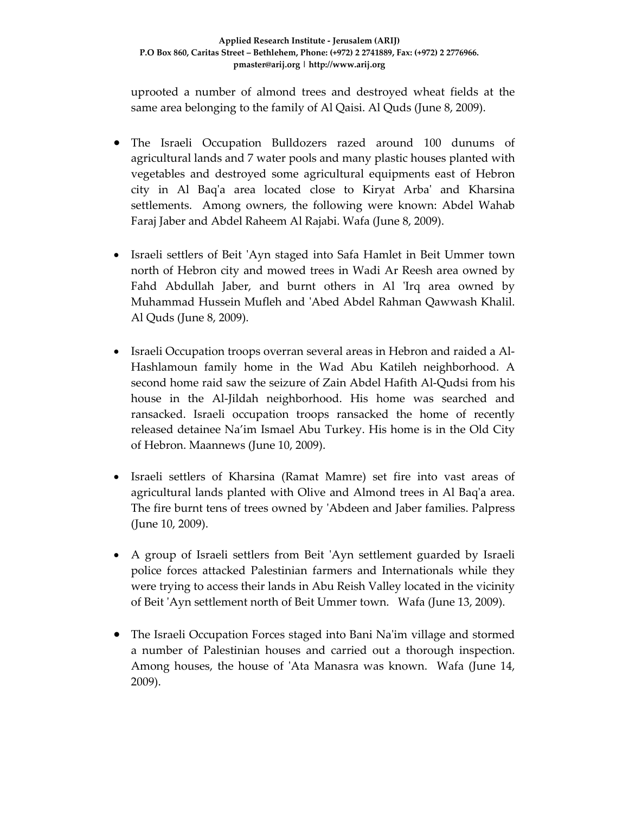uprooted a number of almond trees and destroyed wheat fields at the same area belonging to the family of Al Qaisi. Al Quds (June 8, 2009).

- The Israeli Occupation Bulldozers razed around 100 dunums of agricultural lands and 7 water pools and many plastic houses planted with vegetables and destroyed some agricultural equipments east of Hebron city in Al Baqʹa area located close to Kiryat Arbaʹ and Kharsina settlements. Among owners, the following were known: Abdel Wahab Faraj Jaber and Abdel Raheem Al Rajabi. Wafa (June 8, 2009).
- Israeli settlers of Beit 'Ayn staged into Safa Hamlet in Beit Ummer town north of Hebron city and mowed trees in Wadi Ar Reesh area owned by Fahd Abdullah Jaber, and burnt others in Al 'Irq area owned by Muhammad Hussein Mufleh and ʹAbed Abdel Rahman Qawwash Khalil. Al Quds (June 8, 2009).
- Israeli Occupation troops overran several areas in Hebron and raided a Al‐ Hashlamoun family home in the Wad Abu Katileh neighborhood. A second home raid saw the seizure of Zain Abdel Hafith Al‐Qudsi from his house in the Al-Jildah neighborhood. His home was searched and ransacked. Israeli occupation troops ransacked the home of recently released detainee Na'im Ismael Abu Turkey. His home is in the Old City of Hebron. Maannews (June 10, 2009).
- Israeli settlers of Kharsina (Ramat Mamre) set fire into vast areas of agricultural lands planted with Olive and Almond trees in Al Baqʹa area. The fire burnt tens of trees owned by ʹAbdeen and Jaber families. Palpress (June 10, 2009).
- A group of Israeli settlers from Beit 'Ayn settlement guarded by Israeli police forces attacked Palestinian farmers and Internationals while they were trying to access their lands in Abu Reish Valley located in the vicinity of Beit ʹAyn settlement north of Beit Ummer town. Wafa (June 13, 2009).
- The Israeli Occupation Forces staged into Bani Na'im village and stormed a number of Palestinian houses and carried out a thorough inspection. Among houses, the house of 'Ata Manasra was known. Wafa (June 14, 2009).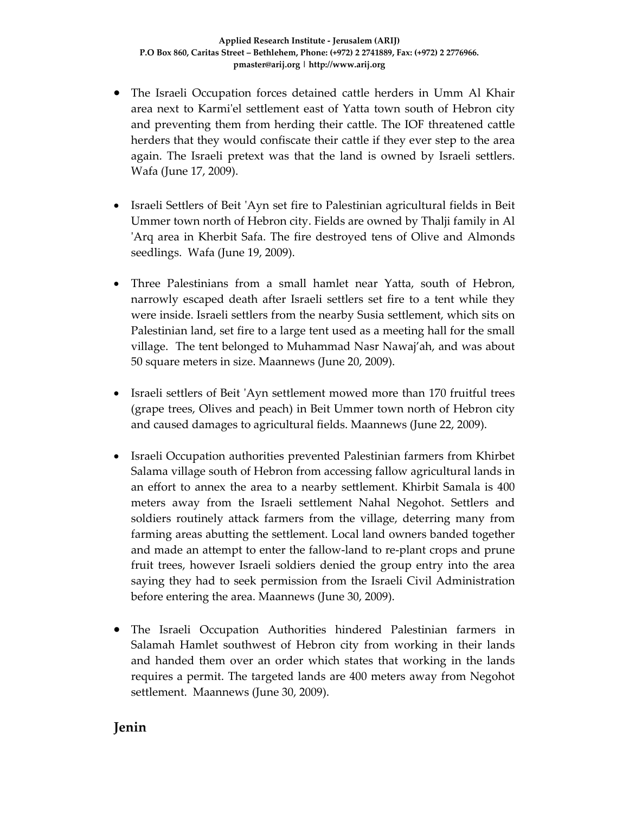- The Israeli Occupation forces detained cattle herders in Umm Al Khair area next to Karmi'el settlement east of Yatta town south of Hebron city and preventing them from herding their cattle. The IOF threatened cattle herders that they would confiscate their cattle if they ever step to the area again. The Israeli pretext was that the land is owned by Israeli settlers. Wafa (June 17, 2009).
- Israeli Settlers of Beit ʹAyn set fire to Palestinian agricultural fields in Beit Ummer town north of Hebron city. Fields are owned by Thalji family in Al ʹArq area in Kherbit Safa. The fire destroyed tens of Olive and Almonds seedlings. Wafa (June 19, 2009).
- Three Palestinians from a small hamlet near Yatta, south of Hebron, narrowly escaped death after Israeli settlers set fire to a tent while they were inside. Israeli settlers from the nearby Susia settlement, which sits on Palestinian land, set fire to a large tent used as a meeting hall for the small village. The tent belonged to Muhammad Nasr Nawaj'ah, and was about 50 square meters in size. Maannews (June 20, 2009).
- Israeli settlers of Beit 'Ayn settlement mowed more than 170 fruitful trees (grape trees, Olives and peach) in Beit Ummer town north of Hebron city and caused damages to agricultural fields. Maannews (June 22, 2009).
- Israeli Occupation authorities prevented Palestinian farmers from Khirbet Salama village south of Hebron from accessing fallow agricultural lands in an effort to annex the area to a nearby settlement. Khirbit Samala is 400 meters away from the Israeli settlement Nahal Negohot. Settlers and soldiers routinely attack farmers from the village, deterring many from farming areas abutting the settlement. Local land owners banded together and made an attempt to enter the fallow‐land to re‐plant crops and prune fruit trees, however Israeli soldiers denied the group entry into the area saying they had to seek permission from the Israeli Civil Administration before entering the area. Maannews (June 30, 2009).
- The Israeli Occupation Authorities hindered Palestinian farmers in Salamah Hamlet southwest of Hebron city from working in their lands and handed them over an order which states that working in the lands requires a permit. The targeted lands are 400 meters away from Negohot settlement. Maannews (June 30, 2009).

# **Jenin**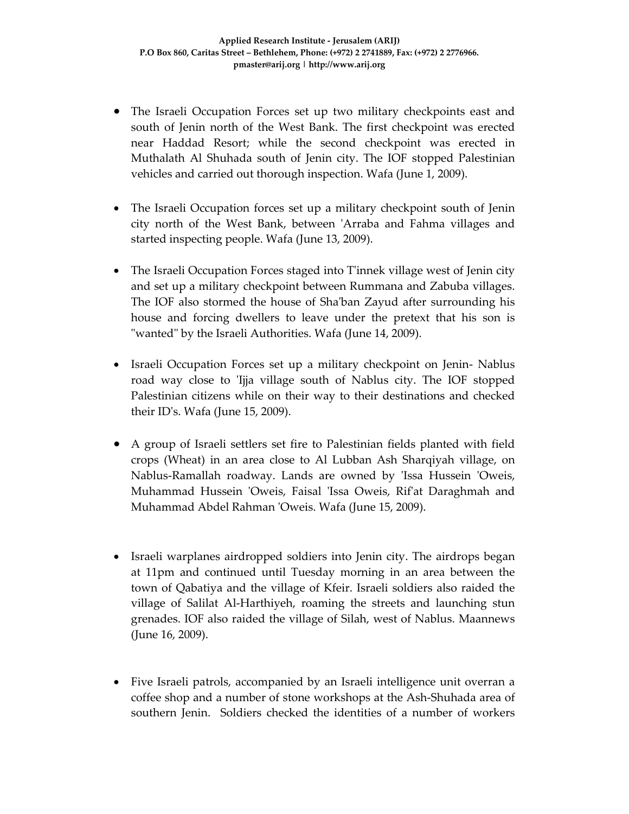- The Israeli Occupation Forces set up two military checkpoints east and south of Jenin north of the West Bank. The first checkpoint was erected near Haddad Resort; while the second checkpoint was erected in Muthalath Al Shuhada south of Jenin city. The IOF stopped Palestinian vehicles and carried out thorough inspection. Wafa (June 1, 2009).
- The Israeli Occupation forces set up a military checkpoint south of Jenin city north of the West Bank, between ʹArraba and Fahma villages and started inspecting people. Wafa (June 13, 2009).
- The Israeli Occupation Forces staged into T'innek village west of Jenin city and set up a military checkpoint between Rummana and Zabuba villages. The IOF also stormed the house of Shaʹban Zayud after surrounding his house and forcing dwellers to leave under the pretext that his son is ʺwantedʺ by the Israeli Authorities. Wafa (June 14, 2009).
- Israeli Occupation Forces set up a military checkpoint on Jenin-Nablus road way close to 'Ijja village south of Nablus city. The IOF stopped Palestinian citizens while on their way to their destinations and checked their IDʹs. Wafa (June 15, 2009).
- A group of Israeli settlers set fire to Palestinian fields planted with field crops (Wheat) in an area close to Al Lubban Ash Sharqiyah village, on Nablus-Ramallah roadway. Lands are owned by 'Issa Hussein 'Oweis, Muhammad Hussein 'Oweis, Faisal 'Issa Oweis, Rif'at Daraghmah and Muhammad Abdel Rahman ʹOweis. Wafa (June 15, 2009).
- Israeli warplanes airdropped soldiers into Jenin city. The airdrops began at 11pm and continued until Tuesday morning in an area between the town of Qabatiya and the village of Kfeir. Israeli soldiers also raided the village of Salilat Al‐Harthiyeh, roaming the streets and launching stun grenades. IOF also raided the village of Silah, west of Nablus. Maannews (June 16, 2009).
- Five Israeli patrols, accompanied by an Israeli intelligence unit overran a coffee shop and a number of stone workshops at the Ash‐Shuhada area of southern Jenin. Soldiers checked the identities of a number of workers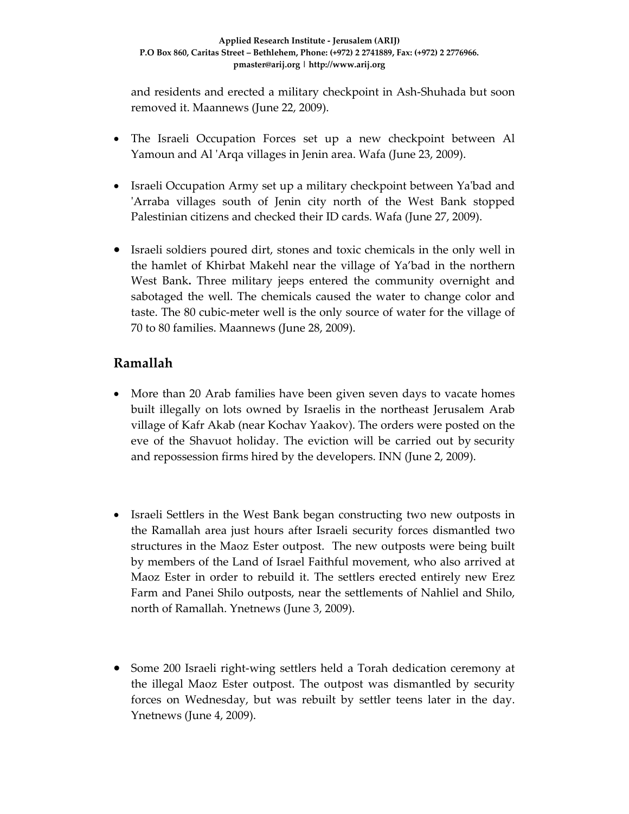and residents and erected a military checkpoint in Ash‐Shuhada but soon removed it. Maannews (June 22, 2009).

- The Israeli Occupation Forces set up a new checkpoint between Al Yamoun and Al ʹArqa villages in Jenin area. Wafa (June 23, 2009).
- Israeli Occupation Army set up a military checkpoint between Ya'bad and ʹArraba villages south of Jenin city north of the West Bank stopped Palestinian citizens and checked their ID cards. Wafa (June 27, 2009).
- Israeli soldiers poured dirt, stones and toxic chemicals in the only well in the hamlet of Khirbat Makehl near the village of Ya'bad in the northern West Bank**.** Three military jeeps entered the community overnight and sabotaged the well. The chemicals caused the water to change color and taste. The 80 cubic‐meter well is the only source of water for the village of 70 to 80 families. Maannews (June 28, 2009).

# **Ramallah**

- More than 20 Arab families have been given seven days to vacate homes built illegally on lots owned by Israelis in the northeast Jerusalem Arab village of Kafr Akab (near Kochav Yaakov). The orders were posted on the eve of the Shavuot holiday. The eviction will be carried out by security and repossession firms hired by the developers. INN (June 2, 2009).
- Israeli Settlers in the West Bank began constructing two new outposts in the Ramallah area just hours after Israeli security forces dismantled two structures in the Maoz Ester outpost. The new outposts were being built by members of the Land of Israel Faithful movement, who also arrived at Maoz Ester in order to rebuild it. The settlers erected entirely new Erez Farm and Panei Shilo outposts, near the settlements of Nahliel and Shilo, north of Ramallah. Ynetnews (June 3, 2009).
- Some 200 Israeli right-wing settlers held a Torah dedication ceremony at the illegal Maoz Ester outpost. The outpost was dismantled by security forces on Wednesday, but was rebuilt by settler teens later in the day. Ynetnews (June 4, 2009).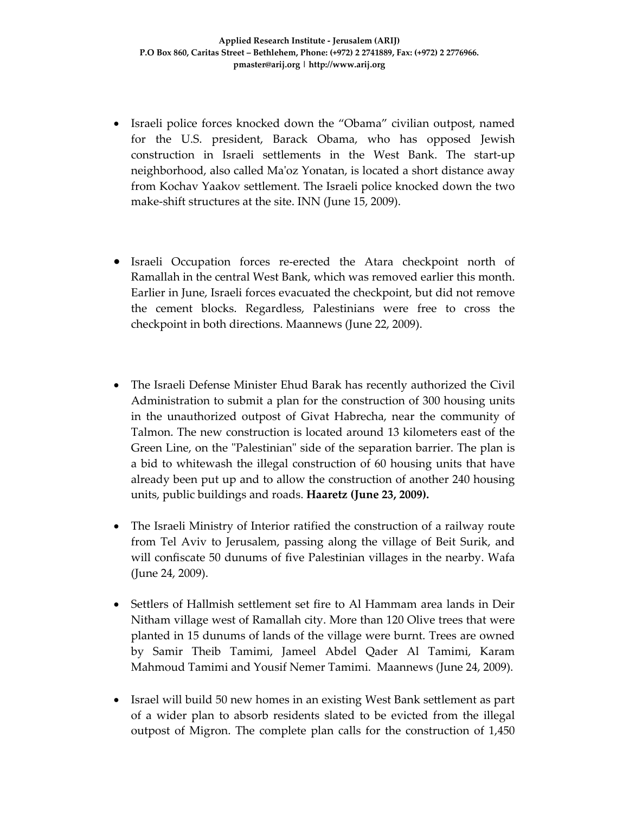- Israeli police forces knocked down the "Obama" civilian outpost, named for the U.S. president, Barack Obama, who has opposed Jewish construction in Israeli settlements in the West Bank. The start‐up neighborhood, also called Maʹoz Yonatan, is located a short distance away from Kochav Yaakov settlement. The Israeli police knocked down the two make-shift structures at the site. INN (June 15, 2009).
- Israeli Occupation forces re-erected the Atara checkpoint north of Ramallah in the central West Bank, which was removed earlier this month. Earlier in June, Israeli forces evacuated the checkpoint, but did not remove the cement blocks. Regardless, Palestinians were free to cross the checkpoint in both directions. Maannews (June 22, 2009).
- The Israeli Defense Minister Ehud Barak has recently authorized the Civil Administration to submit a plan for the construction of 300 housing units in the unauthorized outpost of Givat Habrecha, near the community of Talmon. The new construction is located around 13 kilometers east of the Green Line, on the "Palestinian" side of the separation barrier. The plan is a bid to whitewash the illegal construction of 60 housing units that have already been put up and to allow the construction of another 240 housing units, public buildings and roads. **Haaretz (June 23, 2009).**
- The Israeli Ministry of Interior ratified the construction of a railway route from Tel Aviv to Jerusalem, passing along the village of Beit Surik, and will confiscate 50 dunums of five Palestinian villages in the nearby. Wafa (June 24, 2009).
- Settlers of Hallmish settlement set fire to Al Hammam area lands in Deir Nitham village west of Ramallah city. More than 120 Olive trees that were planted in 15 dunums of lands of the village were burnt. Trees are owned by Samir Theib Tamimi, Jameel Abdel Qader Al Tamimi, Karam Mahmoud Tamimi and Yousif Nemer Tamimi. Maannews (June 24, 2009).
- Israel will build 50 new homes in an existing West Bank settlement as part of a wider plan to absorb residents slated to be evicted from the illegal outpost of Migron. The complete plan calls for the construction of 1,450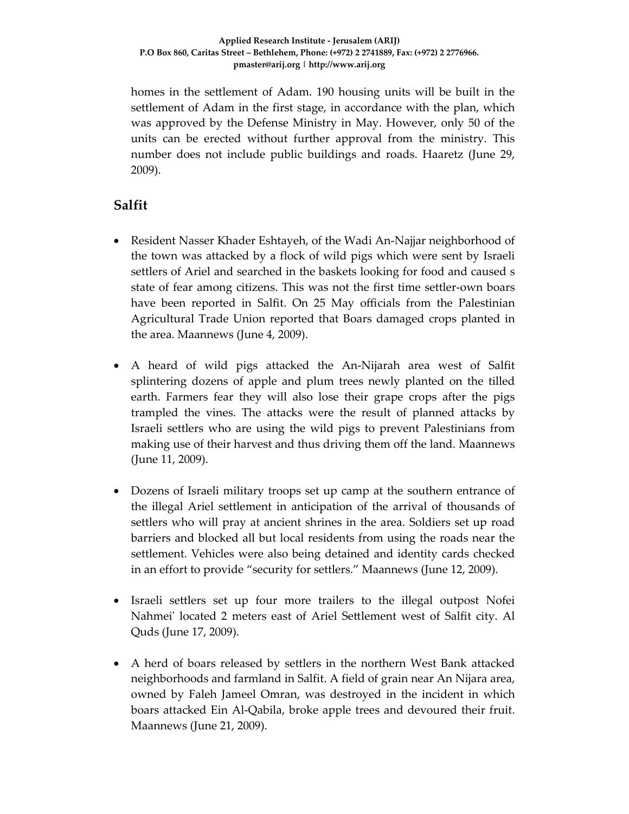homes in the settlement of Adam. 190 housing units will be built in the settlement of Adam in the first stage, in accordance with the plan, which was approved by the Defense Ministry in May. However, only 50 of the units can be erected without further approval from the ministry. This number does not include public buildings and roads. Haaretz (June 29, 2009).

# **Salfit**

- Resident Nasser Khader Eshtayeh, of the Wadi An-Najjar neighborhood of the town was attacked by a flock of wild pigs which were sent by Israeli settlers of Ariel and searched in the baskets looking for food and caused s state of fear among citizens. This was not the first time settler‐own boars have been reported in Salfit. On 25 May officials from the Palestinian Agricultural Trade Union reported that Boars damaged crops planted in the area. Maannews (June 4, 2009).
- A heard of wild pigs attacked the An-Nijarah area west of Salfit splintering dozens of apple and plum trees newly planted on the tilled earth. Farmers fear they will also lose their grape crops after the pigs trampled the vines. The attacks were the result of planned attacks by Israeli settlers who are using the wild pigs to prevent Palestinians from making use of their harvest and thus driving them off the land. Maannews (June 11, 2009).
- Dozens of Israeli military troops set up camp at the southern entrance of the illegal Ariel settlement in anticipation of the arrival of thousands of settlers who will pray at ancient shrines in the area. Soldiers set up road barriers and blocked all but local residents from using the roads near the settlement. Vehicles were also being detained and identity cards checked in an effort to provide "security for settlers." Maannews (June 12, 2009).
- Israeli settlers set up four more trailers to the illegal outpost Nofei Nahmeiʹ located 2 meters east of Ariel Settlement west of Salfit city. Al Quds (June 17, 2009).
- A herd of boars released by settlers in the northern West Bank attacked neighborhoods and farmland in Salfit. A field of grain near An Nijara area, owned by Faleh Jameel Omran, was destroyed in the incident in which boars attacked Ein Al‐Qabila, broke apple trees and devoured their fruit. Maannews (June 21, 2009).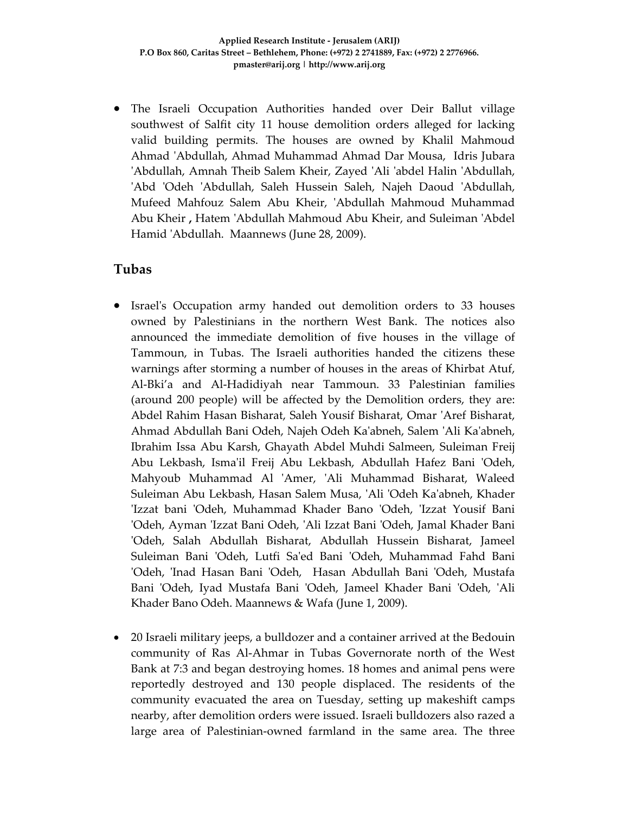• The Israeli Occupation Authorities handed over Deir Ballut village southwest of Salfit city 11 house demolition orders alleged for lacking valid building permits. The houses are owned by Khalil Mahmoud Ahmad ʹAbdullah, Ahmad Muhammad Ahmad Dar Mousa, Idris Jubara ʹAbdullah, Amnah Theib Salem Kheir, Zayed ʹAli ʹabdel Halin ʹAbdullah, ʹAbd ʹOdeh ʹAbdullah, Saleh Hussein Saleh, Najeh Daoud ʹAbdullah, Mufeed Mahfouz Salem Abu Kheir, 'Abdullah Mahmoud Muhammad Abu Kheir **,** Hatem ʹAbdullah Mahmoud Abu Kheir, and Suleiman ʹAbdel Hamid ʹAbdullah. Maannews (June 28, 2009).

### **Tubas**

- Israel's Occupation army handed out demolition orders to 33 houses owned by Palestinians in the northern West Bank. The notices also announced the immediate demolition of five houses in the village of Tammoun, in Tubas. The Israeli authorities handed the citizens these warnings after storming a number of houses in the areas of Khirbat Atuf, Al‐Bki'a and Al‐Hadidiyah near Tammoun. 33 Palestinian families (around 200 people) will be affected by the Demolition orders, they are: Abdel Rahim Hasan Bisharat, Saleh Yousif Bisharat, Omar ʹAref Bisharat, Ahmad Abdullah Bani Odeh, Najeh Odeh Kaʹabneh, Salem ʹAli Kaʹabneh, Ibrahim Issa Abu Karsh, Ghayath Abdel Muhdi Salmeen, Suleiman Freij Abu Lekbash, Ismaʹil Freij Abu Lekbash, Abdullah Hafez Bani ʹOdeh, Mahyoub Muhammad Al ʹAmer, ʹAli Muhammad Bisharat, Waleed Suleiman Abu Lekbash, Hasan Salem Musa, ʹAli ʹOdeh Kaʹabneh, Khader ʹIzzat bani ʹOdeh, Muhammad Khader Bano ʹOdeh, ʹIzzat Yousif Bani ʹOdeh, Ayman ʹIzzat Bani Odeh, ʹAli Izzat Bani ʹOdeh, Jamal Khader Bani ʹOdeh, Salah Abdullah Bisharat, Abdullah Hussein Bisharat, Jameel Suleiman Bani ʹOdeh, Lutfi Saʹed Bani ʹOdeh, Muhammad Fahd Bani 'Odeh, 'Inad Hasan Bani 'Odeh, Hasan Abdullah Bani 'Odeh, Mustafa Bani 'Odeh, Iyad Mustafa Bani 'Odeh, Jameel Khader Bani 'Odeh, 'Ali Khader Bano Odeh. Maannews & Wafa (June 1, 2009).
- 20 Israeli military jeeps, a bulldozer and a container arrived at the Bedouin community of Ras Al‐Ahmar in Tubas Governorate north of the West Bank at 7:3 and began destroying homes. 18 homes and animal pens were reportedly destroyed and 130 people displaced. The residents of the community evacuated the area on Tuesday, setting up makeshift camps nearby, after demolition orders were issued. Israeli bulldozers also razed a large area of Palestinian‐owned farmland in the same area. The three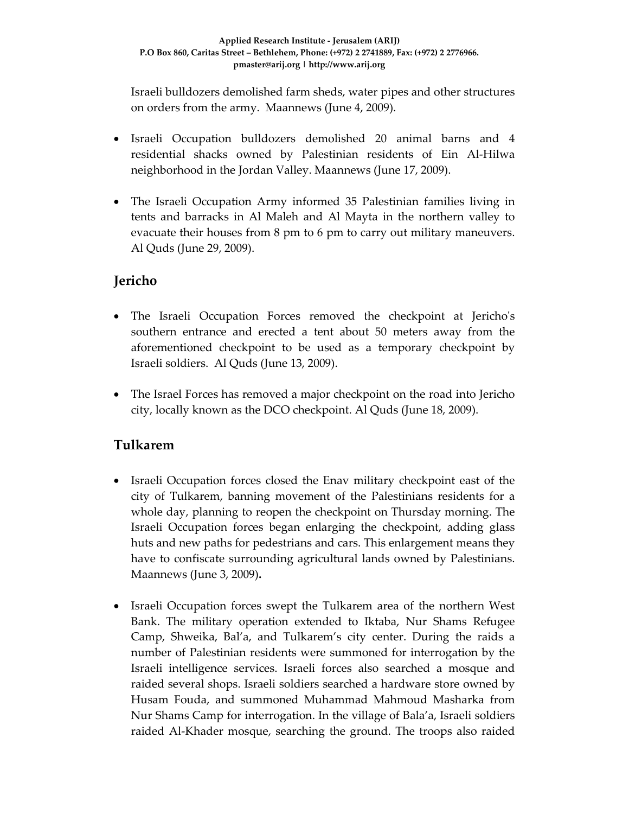Israeli bulldozers demolished farm sheds, water pipes and other structures on orders from the army. Maannews (June 4, 2009).

- Israeli Occupation bulldozers demolished 20 animal barns and 4 residential shacks owned by Palestinian residents of Ein Al‐Hilwa neighborhood in the Jordan Valley. Maannews (June 17, 2009).
- The Israeli Occupation Army informed 35 Palestinian families living in tents and barracks in Al Maleh and Al Mayta in the northern valley to evacuate their houses from 8 pm to 6 pm to carry out military maneuvers. Al Quds (June 29, 2009).

# **Jericho**

- The Israeli Occupation Forces removed the checkpoint at Jericho's southern entrance and erected a tent about 50 meters away from the aforementioned checkpoint to be used as a temporary checkpoint by Israeli soldiers. Al Quds (June 13, 2009).
- The Israel Forces has removed a major checkpoint on the road into Jericho city, locally known as the DCO checkpoint. Al Quds (June 18, 2009).

# **Tulkarem**

- Israeli Occupation forces closed the Enav military checkpoint east of the city of Tulkarem, banning movement of the Palestinians residents for a whole day, planning to reopen the checkpoint on Thursday morning. The Israeli Occupation forces began enlarging the checkpoint, adding glass huts and new paths for pedestrians and cars. This enlargement means they have to confiscate surrounding agricultural lands owned by Palestinians. Maannews (June 3, 2009)**.**
- Israeli Occupation forces swept the Tulkarem area of the northern West Bank. The military operation extended to Iktaba, Nur Shams Refugee Camp, Shweika, Bal'a, and Tulkarem's city center. During the raids a number of Palestinian residents were summoned for interrogation by the Israeli intelligence services. Israeli forces also searched a mosque and raided several shops. Israeli soldiers searched a hardware store owned by Husam Fouda, and summoned Muhammad Mahmoud Masharka from Nur Shams Camp for interrogation. In the village of Bala'a, Israeli soldiers raided Al‐Khader mosque, searching the ground. The troops also raided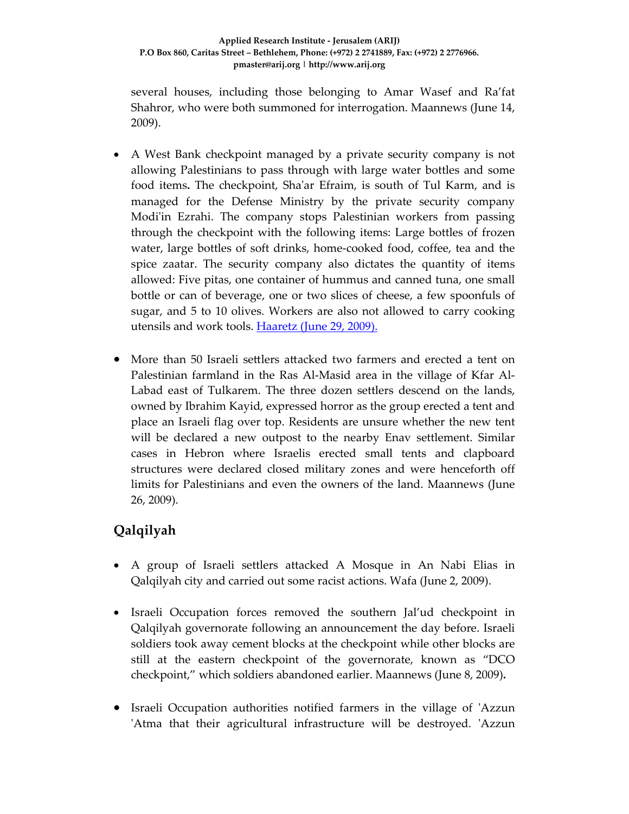several houses, including those belonging to Amar Wasef and Ra'fat Shahror, who were both summoned for interrogation. Maannews (June 14, 2009).

- A West Bank checkpoint managed by a private security company is not allowing Palestinians to pass through with large water bottles and some food items**.** The checkpoint, Shaʹar Efraim, is south of Tul Karm, and is managed for the Defense Ministry by the private security company Modi'in Ezrahi. The company stops Palestinian workers from passing through the checkpoint with the following items: Large bottles of frozen water, large bottles of soft drinks, home‐cooked food, coffee, tea and the spice zaatar. The security company also dictates the quantity of items allowed: Five pitas, one container of hummus and canned tuna, one small bottle or can of beverage, one or two slices of cheese, a few spoonfuls of sugar, and 5 to 10 olives. Workers are also not allowed to carry cooking utensils and work tools. **Haaretz** (June 29, 2009).
- More than 50 Israeli settlers attacked two farmers and erected a tent on Palestinian farmland in the Ras Al‐Masid area in the village of Kfar Al‐ Labad east of Tulkarem. The three dozen settlers descend on the lands, owned by Ibrahim Kayid, expressed horror as the group erected a tent and place an Israeli flag over top. Residents are unsure whether the new tent will be declared a new outpost to the nearby Enav settlement. Similar cases in Hebron where Israelis erected small tents and clapboard structures were declared closed military zones and were henceforth off limits for Palestinians and even the owners of the land. Maannews (June 26, 2009).

# **Qalqilyah**

- A group of Israeli settlers attacked A Mosque in An Nabi Elias in Qalqilyah city and carried out some racist actions. Wafa (June 2, 2009).
- Israeli Occupation forces removed the southern Jal'ud checkpoint in Qalqilyah governorate following an announcement the day before. Israeli soldiers took away cement blocks at the checkpoint while other blocks are still at the eastern checkpoint of the governorate, known as "DCO checkpoint," which soldiers abandoned earlier. Maannews (June 8, 2009)**.**
- Israeli Occupation authorities notified farmers in the village of 'Azzun 'Atma that their agricultural infrastructure will be destroyed. 'Azzun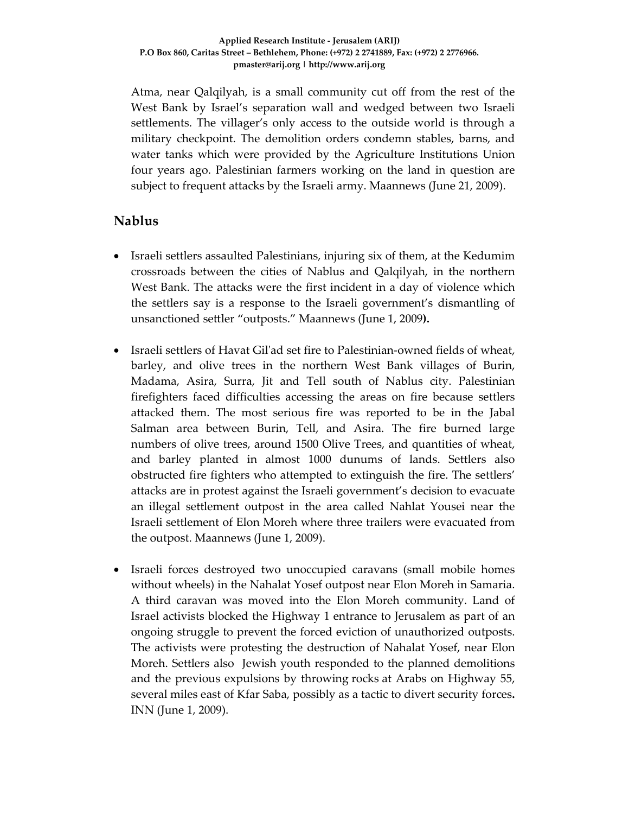Atma, near Qalqilyah, is a small community cut off from the rest of the West Bank by Israel's separation wall and wedged between two Israeli settlements. The villager's only access to the outside world is through a military checkpoint. The demolition orders condemn stables, barns, and water tanks which were provided by the Agriculture Institutions Union four years ago. Palestinian farmers working on the land in question are subject to frequent attacks by the Israeli army. Maannews (June 21, 2009).

# **Nablus**

- Israeli settlers assaulted Palestinians, injuring six of them, at the Kedumim crossroads between the cities of Nablus and Qalqilyah, in the northern West Bank. The attacks were the first incident in a day of violence which the settlers say is a response to the Israeli government's dismantling of unsanctioned settler "outposts." Maannews (June 1, 2009**).**
- Israeli settlers of Havat Gil'ad set fire to Palestinian-owned fields of wheat, barley, and olive trees in the northern West Bank villages of Burin, Madama, Asira, Surra, Jit and Tell south of Nablus city. Palestinian firefighters faced difficulties accessing the areas on fire because settlers attacked them. The most serious fire was reported to be in the Jabal Salman area between Burin, Tell, and Asira. The fire burned large numbers of olive trees, around 1500 Olive Trees, and quantities of wheat, and barley planted in almost 1000 dunums of lands. Settlers also obstructed fire fighters who attempted to extinguish the fire. The settlers' attacks are in protest against the Israeli government's decision to evacuate an illegal settlement outpost in the area called Nahlat Yousei near the Israeli settlement of Elon Moreh where three trailers were evacuated from the outpost. Maannews (June 1, 2009).
- Israeli forces destroyed two unoccupied caravans (small mobile homes without wheels) in the Nahalat Yosef outpost near Elon Moreh in Samaria. A third caravan was moved into the Elon Moreh community. Land of Israel activists blocked the Highway 1 entrance to Jerusalem as part of an ongoing struggle to prevent the forced eviction of unauthorized outposts. The activists were protesting the destruction of Nahalat Yosef, near Elon Moreh. Settlers also Jewish youth responded to the planned demolitions and the previous expulsions by throwing rocks at Arabs on Highway 55, several miles east of Kfar Saba, possibly as a tactic to divert security forces**.** INN (June 1, 2009).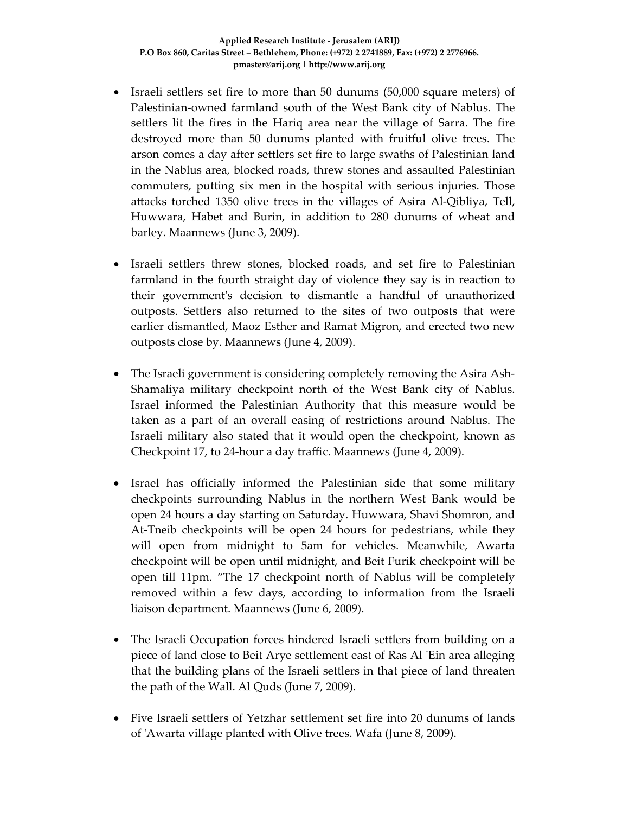- Israeli settlers set fire to more than 50 dunums (50,000 square meters) of Palestinian‐owned farmland south of the West Bank city of Nablus. The settlers lit the fires in the Hariq area near the village of Sarra. The fire destroyed more than 50 dunums planted with fruitful olive trees. The arson comes a day after settlers set fire to large swaths of Palestinian land in the Nablus area, blocked roads, threw stones and assaulted Palestinian commuters, putting six men in the hospital with serious injuries. Those attacks torched 1350 olive trees in the villages of Asira Al‐Qibliya, Tell, Huwwara, Habet and Burin, in addition to 280 dunums of wheat and barley. Maannews (June 3, 2009).
- Israeli settlers threw stones, blocked roads, and set fire to Palestinian farmland in the fourth straight day of violence they say is in reaction to their governmentʹs decision to dismantle a handful of unauthorized outposts. Settlers also returned to the sites of two outposts that were earlier dismantled, Maoz Esther and Ramat Migron, and erected two new outposts close by. Maannews (June 4, 2009).
- The Israeli government is considering completely removing the Asira Ash-Shamaliya military checkpoint north of the West Bank city of Nablus. Israel informed the Palestinian Authority that this measure would be taken as a part of an overall easing of restrictions around Nablus. The Israeli military also stated that it would open the checkpoint, known as Checkpoint 17, to 24‐hour a day traffic. Maannews (June 4, 2009).
- Israel has officially informed the Palestinian side that some military checkpoints surrounding Nablus in the northern West Bank would be open 24 hours a day starting on Saturday. Huwwara, Shavi Shomron, and At‐Tneib checkpoints will be open 24 hours for pedestrians, while they will open from midnight to 5am for vehicles. Meanwhile, Awarta checkpoint will be open until midnight, and Beit Furik checkpoint will be open till 11pm. "The 17 checkpoint north of Nablus will be completely removed within a few days, according to information from the Israeli liaison department. Maannews (June 6, 2009).
- The Israeli Occupation forces hindered Israeli settlers from building on a piece of land close to Beit Arye settlement east of Ras Al ʹEin area alleging that the building plans of the Israeli settlers in that piece of land threaten the path of the Wall. Al Quds (June 7, 2009).
- Five Israeli settlers of Yetzhar settlement set fire into 20 dunums of lands of ʹAwarta village planted with Olive trees. Wafa (June 8, 2009).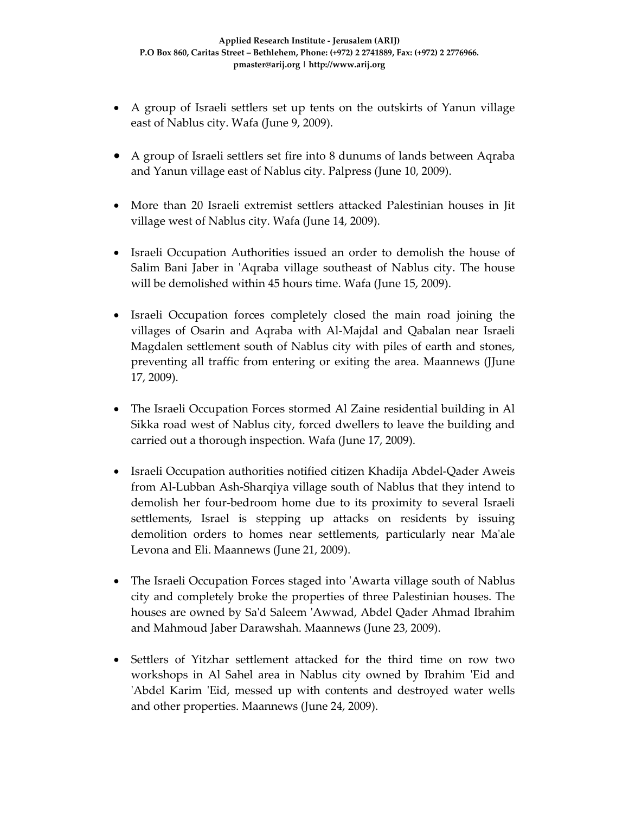- A group of Israeli settlers set up tents on the outskirts of Yanun village east of Nablus city. Wafa (June 9, 2009).
- A group of Israeli settlers set fire into 8 dunums of lands between Aqraba and Yanun village east of Nablus city. Palpress (June 10, 2009).
- More than 20 Israeli extremist settlers attacked Palestinian houses in Jit village west of Nablus city. Wafa (June 14, 2009).
- Israeli Occupation Authorities issued an order to demolish the house of Salim Bani Jaber in 'Aqraba village southeast of Nablus city. The house will be demolished within 45 hours time. Wafa (June 15, 2009).
- Israeli Occupation forces completely closed the main road joining the villages of Osarin and Aqraba with Al‐Majdal and Qabalan near Israeli Magdalen settlement south of Nablus city with piles of earth and stones, preventing all traffic from entering or exiting the area. Maannews (JJune 17, 2009).
- The Israeli Occupation Forces stormed Al Zaine residential building in Al Sikka road west of Nablus city, forced dwellers to leave the building and carried out a thorough inspection. Wafa (June 17, 2009).
- Israeli Occupation authorities notified citizen Khadija Abdel‐Qader Aweis from Al‐Lubban Ash‐Sharqiya village south of Nablus that they intend to demolish her four‐bedroom home due to its proximity to several Israeli settlements, Israel is stepping up attacks on residents by issuing demolition orders to homes near settlements, particularly near Ma'ale Levona and Eli. Maannews (June 21, 2009).
- The Israeli Occupation Forces staged into 'Awarta village south of Nablus city and completely broke the properties of three Palestinian houses. The houses are owned by Saʹd Saleem ʹAwwad, Abdel Qader Ahmad Ibrahim and Mahmoud Jaber Darawshah. Maannews (June 23, 2009).
- Settlers of Yitzhar settlement attacked for the third time on row two workshops in Al Sahel area in Nablus city owned by Ibrahim 'Eid and 'Abdel Karim 'Eid, messed up with contents and destroyed water wells and other properties. Maannews (June 24, 2009).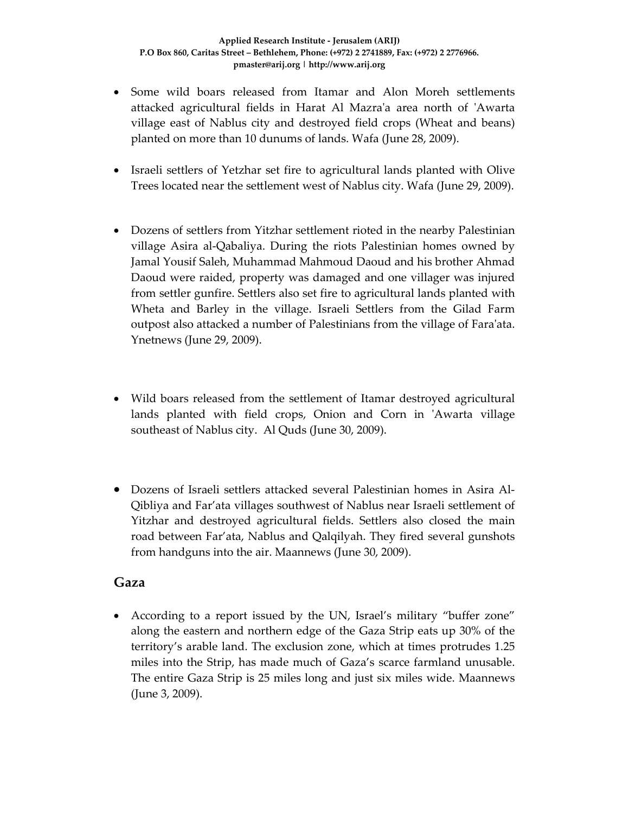- Some wild boars released from Itamar and Alon Moreh settlements attacked agricultural fields in Harat Al Mazraʹa area north of ʹAwarta village east of Nablus city and destroyed field crops (Wheat and beans) planted on more than 10 dunums of lands. Wafa (June 28, 2009).
- Israeli settlers of Yetzhar set fire to agricultural lands planted with Olive Trees located near the settlement west of Nablus city. Wafa (June 29, 2009).
- Dozens of settlers from Yitzhar settlement rioted in the nearby Palestinian village Asira al‐Qabaliya. During the riots Palestinian homes owned by Jamal Yousif Saleh, Muhammad Mahmoud Daoud and his brother Ahmad Daoud were raided, property was damaged and one villager was injured from settler gunfire. Settlers also set fire to agricultural lands planted with Wheta and Barley in the village. Israeli Settlers from the Gilad Farm outpost also attacked a number of Palestinians from the village of Faraʹata. Ynetnews (June 29, 2009).
- Wild boars released from the settlement of Itamar destroyed agricultural lands planted with field crops, Onion and Corn in 'Awarta village southeast of Nablus city. Al Quds (June 30, 2009).
- Dozens of Israeli settlers attacked several Palestinian homes in Asira Al‐ Qibliya and Far'ata villages southwest of Nablus near Israeli settlement of Yitzhar and destroyed agricultural fields. Settlers also closed the main road between Far'ata, Nablus and Qalqilyah. They fired several gunshots from handguns into the air. Maannews (June 30, 2009).

#### **Gaza**

• According to a report issued by the UN, Israel's military "buffer zone" along the eastern and northern edge of the Gaza Strip eats up 30% of the territory's arable land. The exclusion zone, which at times protrudes 1.25 miles into the Strip, has made much of Gaza's scarce farmland unusable. The entire Gaza Strip is 25 miles long and just six miles wide. Maannews (June 3, 2009).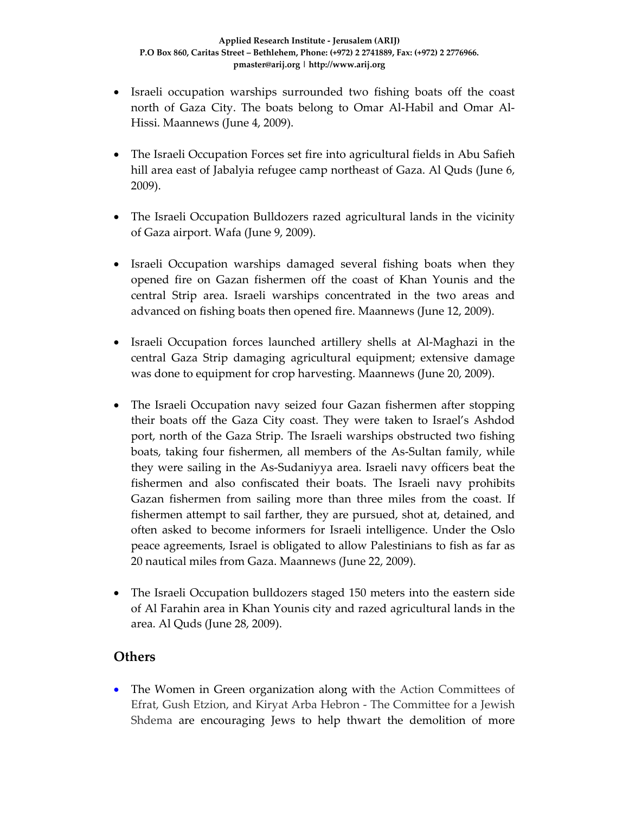- Israeli occupation warships surrounded two fishing boats off the coast north of Gaza City. The boats belong to Omar Al‐Habil and Omar Al‐ Hissi. Maannews (June 4, 2009).
- The Israeli Occupation Forces set fire into agricultural fields in Abu Safieh hill area east of Jabalyia refugee camp northeast of Gaza. Al Quds (June 6, 2009).
- The Israeli Occupation Bulldozers razed agricultural lands in the vicinity of Gaza airport. Wafa (June 9, 2009).
- Israeli Occupation warships damaged several fishing boats when they opened fire on Gazan fishermen off the coast of Khan Younis and the central Strip area. Israeli warships concentrated in the two areas and advanced on fishing boats then opened fire. Maannews (June 12, 2009).
- Israeli Occupation forces launched artillery shells at Al-Maghazi in the central Gaza Strip damaging agricultural equipment; extensive damage was done to equipment for crop harvesting. Maannews (June 20, 2009).
- The Israeli Occupation navy seized four Gazan fishermen after stopping their boats off the Gaza City coast. They were taken to Israel's Ashdod port, north of the Gaza Strip. The Israeli warships obstructed two fishing boats, taking four fishermen, all members of the As‐Sultan family, while they were sailing in the As‐Sudaniyya area. Israeli navy officers beat the fishermen and also confiscated their boats. The Israeli navy prohibits Gazan fishermen from sailing more than three miles from the coast. If fishermen attempt to sail farther, they are pursued, shot at, detained, and often asked to become informers for Israeli intelligence. Under the Oslo peace agreements, Israel is obligated to allow Palestinians to fish as far as 20 nautical miles from Gaza. Maannews (June 22, 2009).
- The Israeli Occupation bulldozers staged 150 meters into the eastern side of Al Farahin area in Khan Younis city and razed agricultural lands in the area. Al Quds (June 28, 2009).

# **Others**

• The Women in Green organization along with the Action Committees of Efrat, Gush Etzion, and Kiryat Arba Hebron ‐ The Committee for a Jewish Shdema are encouraging Jews to help thwart the demolition of more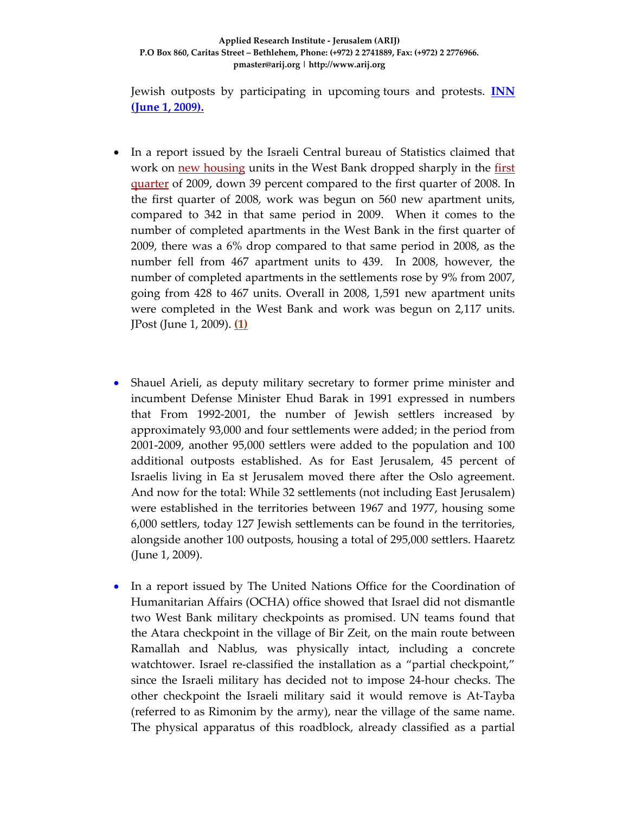Jewish outposts by participating in upcoming tours and protests. **INN (June 1, 2009).** 

- In a report issued by the Israeli Central bureau of Statistics claimed that work on new housing units in the West Bank dropped sharply in the first quarter of 2009, down 39 percent compared to the first quarter of 2008. In the first quarter of 2008, work was begun on 560 new apartment units, compared to 342 in that same period in 2009. When it comes to the number of completed apartments in the West Bank in the first quarter of 2009, there was a 6% drop compared to that same period in 2008, as the number fell from 467 apartment units to 439. In 2008, however, the number of completed apartments in the settlements rose by 9% from 2007, going from 428 to 467 units. Overall in 2008, 1,591 new apartment units were completed in the West Bank and work was begun on 2,117 units. JPost (June 1, 2009). **(1)**
- Shauel Arieli, as deputy military secretary to former prime minister and incumbent Defense Minister Ehud Barak in 1991 expressed in numbers that From 1992‐2001, the number of Jewish settlers increased by approximately 93,000 and four settlements were added; in the period from 2001‐2009, another 95,000 settlers were added to the population and 100 additional outposts established. As for East Jerusalem, 45 percent of Israelis living in Ea st Jerusalem moved there after the Oslo agreement. And now for the total: While 32 settlements (not including East Jerusalem) were established in the territories between 1967 and 1977, housing some 6,000 settlers, today 127 Jewish settlements can be found in the territories, alongside another 100 outposts, housing a total of 295,000 settlers. Haaretz (June 1, 2009).
- In a report issued by The United Nations Office for the Coordination of Humanitarian Affairs (OCHA) office showed that Israel did not dismantle two West Bank military checkpoints as promised. UN teams found that the Atara checkpoint in the village of Bir Zeit, on the main route between Ramallah and Nablus, was physically intact, including a concrete watchtower. Israel re-classified the installation as a "partial checkpoint," since the Israeli military has decided not to impose 24‐hour checks. The other checkpoint the Israeli military said it would remove is At‐Tayba (referred to as Rimonim by the army), near the village of the same name. The physical apparatus of this roadblock, already classified as a partial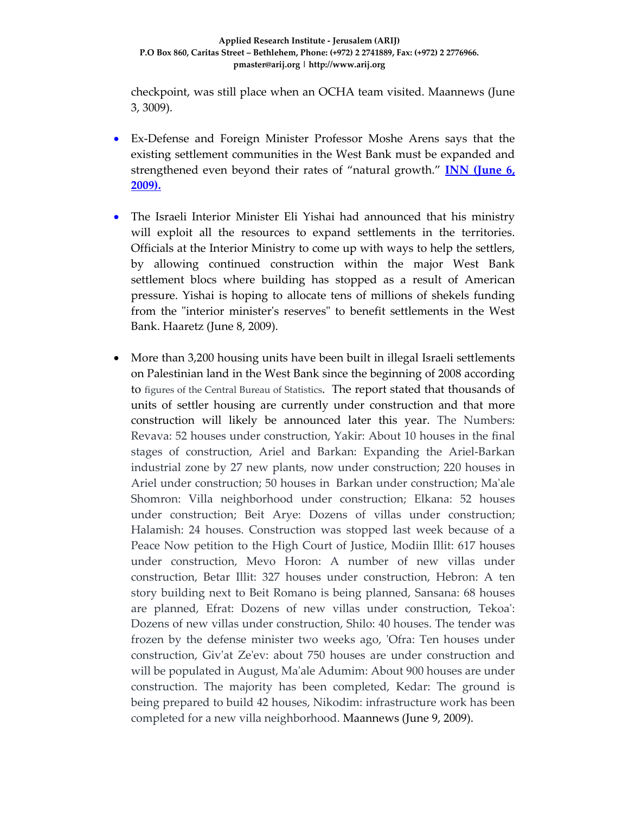checkpoint, was still place when an OCHA team visited. Maannews (June 3, 3009).

- Ex-Defense and Foreign Minister Professor Moshe Arens says that the existing settlement communities in the West Bank must be expanded and strengthened even beyond their rates of "natural growth." **INN (June 6, 2009).**
- The Israeli Interior Minister Eli Yishai had announced that his ministry will exploit all the resources to expand settlements in the territories. Officials at the Interior Ministry to come up with ways to help the settlers, by allowing continued construction within the major West Bank settlement blocs where building has stopped as a result of American pressure. Yishai is hoping to allocate tens of millions of shekels funding from the "interior minister's reserves" to benefit settlements in the West Bank. Haaretz (June 8, 2009).
- More than 3,200 housing units have been built in illegal Israeli settlements on Palestinian land in the West Bank since the beginning of 2008 according to figures of the Central Bureau of Statistics. The report stated that thousands of units of settler housing are currently under construction and that more construction will likely be announced later this year. The Numbers: Revava: 52 houses under construction, Yakir: About 10 houses in the final stages of construction, Ariel and Barkan: Expanding the Ariel‐Barkan industrial zone by 27 new plants, now under construction; 220 houses in Ariel under construction; 50 houses in Barkan under construction; Ma'ale Shomron: Villa neighborhood under construction; Elkana: 52 houses under construction; Beit Arye: Dozens of villas under construction; Halamish: 24 houses. Construction was stopped last week because of a Peace Now petition to the High Court of Justice, Modiin Illit: 617 houses under construction, Mevo Horon: A number of new villas under construction, Betar Illit: 327 houses under construction, Hebron: A ten story building next to Beit Romano is being planned, Sansana: 68 houses are planned, Efrat: Dozens of new villas under construction, Tekoaʹ: Dozens of new villas under construction, Shilo: 40 houses. The tender was frozen by the defense minister two weeks ago, 'Ofra: Ten houses under construction, Givʹat Zeʹev: about 750 houses are under construction and will be populated in August, Maʹale Adumim: About 900 houses are under construction. The majority has been completed, Kedar: The ground is being prepared to build 42 houses, Nikodim: infrastructure work has been completed for a new villa neighborhood. Maannews (June 9, 2009).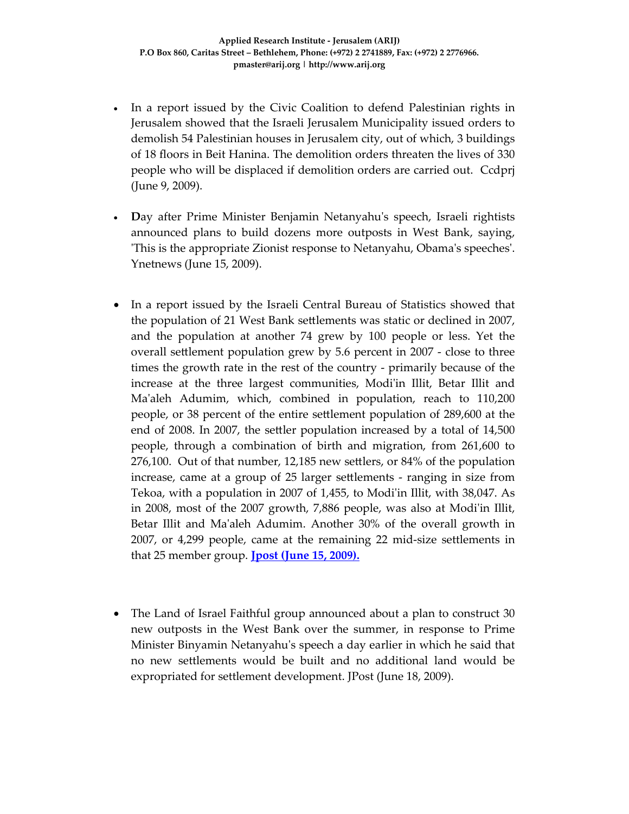- In a report issued by the Civic Coalition to defend Palestinian rights in Jerusalem showed that the Israeli Jerusalem Municipality issued orders to demolish 54 Palestinian houses in Jerusalem city, out of which, 3 buildings of 18 floors in Beit Hanina. The demolition orders threaten the lives of 330 people who will be displaced if demolition orders are carried out. Ccdprj (June 9, 2009).
- **Day after Prime Minister Benjamin Netanyahu's speech, Israeli rightists** announced plans to build dozens more outposts in West Bank, saying, ʹThis is the appropriate Zionist response to Netanyahu, Obamaʹs speechesʹ. Ynetnews (June 15, 2009).
- In a report issued by the Israeli Central Bureau of Statistics showed that the population of 21 West Bank settlements was static or declined in 2007, and the population at another 74 grew by 100 people or less. Yet the overall settlement population grew by 5.6 percent in 2007 ‐ close to three times the growth rate in the rest of the country ‐ primarily because of the increase at the three largest communities, Modiʹin Illit, Betar Illit and Ma'aleh Adumim, which, combined in population, reach to 110,200 people, or 38 percent of the entire settlement population of 289,600 at the end of 2008. In 2007, the settler population increased by a total of 14,500 people, through a combination of birth and migration, from 261,600 to 276,100. Out of that number, 12,185 new settlers, or 84% of the population increase, came at a group of 25 larger settlements ‐ ranging in size from Tekoa, with a population in 2007 of 1,455, to Modiʹin Illit, with 38,047. As in 2008, most of the 2007 growth, 7,886 people, was also at Modi'in Illit, Betar Illit and Maʹaleh Adumim. Another 30% of the overall growth in 2007, or 4,299 people, came at the remaining 22 mid‐size settlements in that 25 member group. **Jpost (June 15, 2009).**
- The Land of Israel Faithful group announced about a plan to construct 30 new outposts in the West Bank over the summer, in response to Prime Minister Binyamin Netanyahuʹs speech a day earlier in which he said that no new settlements would be built and no additional land would be expropriated for settlement development. JPost (June 18, 2009).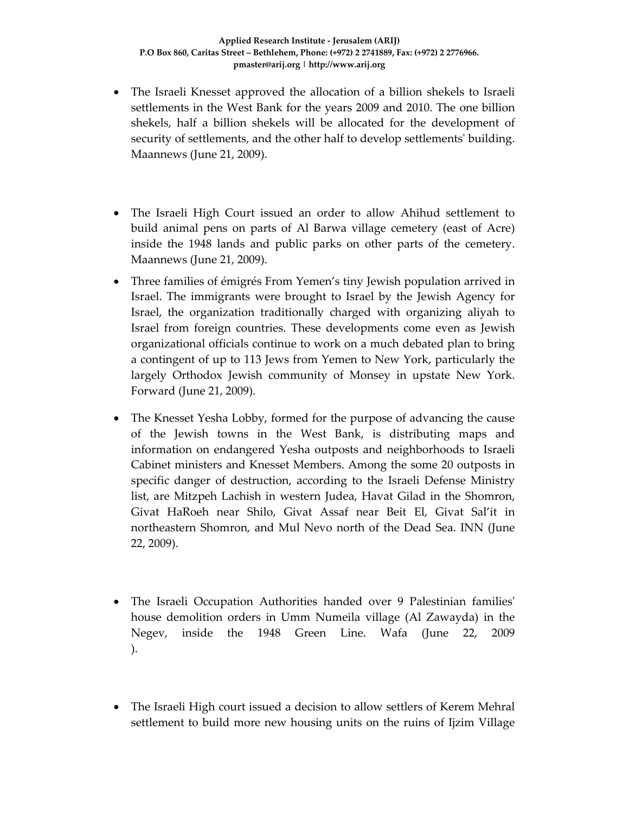- The Israeli Knesset approved the allocation of a billion shekels to Israeli settlements in the West Bank for the years 2009 and 2010. The one billion shekels, half a billion shekels will be allocated for the development of security of settlements, and the other half to develop settlements' building. Maannews (June 21, 2009).
- The Israeli High Court issued an order to allow Ahihud settlement to build animal pens on parts of Al Barwa village cemetery (east of Acre) inside the 1948 lands and public parks on other parts of the cemetery. Maannews (June 21, 2009).
- Three families of émigrés From Yemen's tiny Jewish population arrived in Israel. The immigrants were brought to Israel by the Jewish Agency for Israel, the organization traditionally charged with organizing aliyah to Israel from foreign countries. These developments come even as Jewish organizational officials continue to work on a much debated plan to bring a contingent of up to 113 Jews from Yemen to New York, particularly the largely Orthodox Jewish community of Monsey in upstate New York. Forward (June 21, 2009).
- The Knesset Yesha Lobby, formed for the purpose of advancing the cause of the Jewish towns in the West Bank, is distributing maps and information on endangered Yesha outposts and neighborhoods to Israeli Cabinet ministers and Knesset Members. Among the some 20 outposts in specific danger of destruction, according to the Israeli Defense Ministry list, are Mitzpeh Lachish in western Judea, Havat Gilad in the Shomron, Givat HaRoeh near Shilo, Givat Assaf near Beit El, Givat Sal'it in northeastern Shomron, and Mul Nevo north of the Dead Sea. INN (June 22, 2009).
- The Israeli Occupation Authorities handed over 9 Palestinian families' house demolition orders in Umm Numeila village (Al Zawayda) in the Negev, inside the 1948 Green Line. Wafa (June 22, 2009 ).
- The Israeli High court issued a decision to allow settlers of Kerem Mehral settlement to build more new housing units on the ruins of Ijzim Village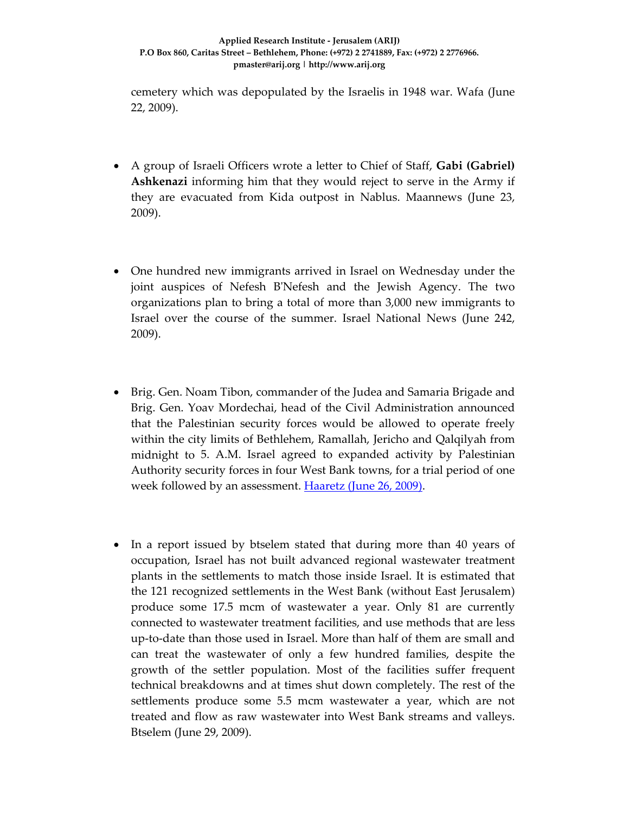cemetery which was depopulated by the Israelis in 1948 war. Wafa (June 22, 2009).

- A group of Israeli Officers wrote a letter to Chief of Staff, **Gabi (Gabriel) Ashkenazi** informing him that they would reject to serve in the Army if they are evacuated from Kida outpost in Nablus. Maannews (June 23, 2009).
- One hundred new immigrants arrived in Israel on Wednesday under the joint auspices of Nefesh BʹNefesh and the Jewish Agency. The two organizations plan to bring a total of more than 3,000 new immigrants to Israel over the course of the summer. Israel National News (June 242, 2009).
- Brig. Gen. Noam Tibon, commander of the Judea and Samaria Brigade and Brig. Gen. Yoav Mordechai, head of the Civil Administration announced that the Palestinian security forces would be allowed to operate freely within the city limits of Bethlehem, Ramallah, Jericho and Qalqilyah from midnight to 5. A.M. Israel agreed to expanded activity by Palestinian Authority security forces in four West Bank towns, for a trial period of one week followed by an assessment. **Haaretz (June 26, 2009)**.
- In a report issued by btselem stated that during more than 40 years of occupation, Israel has not built advanced regional wastewater treatment plants in the settlements to match those inside Israel. It is estimated that the 121 recognized settlements in the West Bank (without East Jerusalem) produce some 17.5 mcm of wastewater a year. Only 81 are currently connected to wastewater treatment facilities, and use methods that are less up‐to‐date than those used in Israel. More than half of them are small and can treat the wastewater of only a few hundred families, despite the growth of the settler population. Most of the facilities suffer frequent technical breakdowns and at times shut down completely. The rest of the settlements produce some 5.5 mcm wastewater a year, which are not treated and flow as raw wastewater into West Bank streams and valleys. Btselem (June 29, 2009).